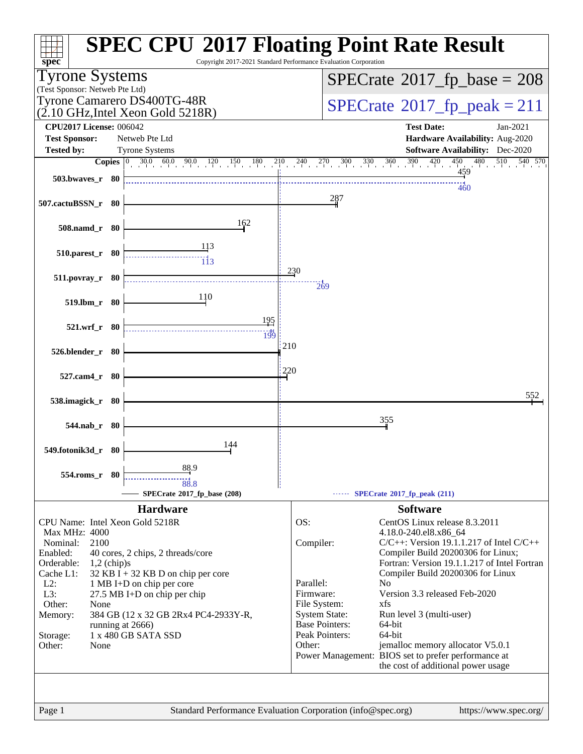

Page 1 Standard Performance Evaluation Corporation [\(info@spec.org\)](mailto:info@spec.org) <https://www.spec.org/>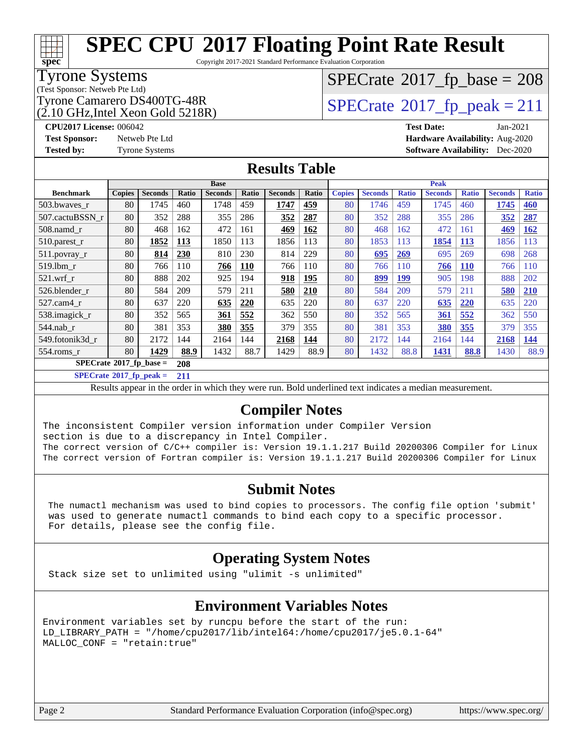Copyright 2017-2021 Standard Performance Evaluation Corporation

### Tyrone Systems

**[spec](http://www.spec.org/)**

(Test Sponsor: Netweb Pte Ltd)

 $(2.10 \text{ GHz}$ . Intel Xeon Gold 5218R)

## $SPECTate$ <sup>®</sup>[2017\\_fp\\_base =](http://www.spec.org/auto/cpu2017/Docs/result-fields.html#SPECrate2017fpbase) 208

### Tyrone Camarero DS400TG-48R<br> $\alpha$  10 GHz Intel Xeon Gold 5218R)  $\text{SPECrate}$  $\text{SPECrate}$  $\text{SPECrate}$ <sup>®</sup>[2017\\_fp\\_peak = 2](http://www.spec.org/auto/cpu2017/Docs/result-fields.html#SPECrate2017fppeak)11

**[CPU2017 License:](http://www.spec.org/auto/cpu2017/Docs/result-fields.html#CPU2017License)** 006042 **[Test Date:](http://www.spec.org/auto/cpu2017/Docs/result-fields.html#TestDate)** Jan-2021 **[Test Sponsor:](http://www.spec.org/auto/cpu2017/Docs/result-fields.html#TestSponsor)** Netweb Pte Ltd **[Hardware Availability:](http://www.spec.org/auto/cpu2017/Docs/result-fields.html#HardwareAvailability)** Aug-2020 **[Tested by:](http://www.spec.org/auto/cpu2017/Docs/result-fields.html#Testedby)** Tyrone Systems **[Software Availability:](http://www.spec.org/auto/cpu2017/Docs/result-fields.html#SoftwareAvailability)** Dec-2020

### **[Results Table](http://www.spec.org/auto/cpu2017/Docs/result-fields.html#ResultsTable)**

|                                        | <b>Base</b>   |                |       |                | <b>Peak</b> |                |       |               |                |              |                |              |                |              |
|----------------------------------------|---------------|----------------|-------|----------------|-------------|----------------|-------|---------------|----------------|--------------|----------------|--------------|----------------|--------------|
| <b>Benchmark</b>                       | <b>Copies</b> | <b>Seconds</b> | Ratio | <b>Seconds</b> | Ratio       | <b>Seconds</b> | Ratio | <b>Copies</b> | <b>Seconds</b> | <b>Ratio</b> | <b>Seconds</b> | <b>Ratio</b> | <b>Seconds</b> | <b>Ratio</b> |
| 503.bwaves_r                           | 80            | 1745           | 460   | 1748           | 459         | 1747           | 459   | 80            | 1746           | 459          | 1745           | 460          | 1745           | 460          |
| 507.cactuBSSN r                        | 80            | 352            | 288   | 355            | 286         | 352            | 287   | 80            | 352            | 288          | 355            | 286          | 352            | 287          |
| $508$ .namd $r$                        | 80            | 468            | 162   | 472            | 161         | 469            | 162   | 80            | 468            | 162          | 472            | 161          | 469            | 162          |
| $510.parest_r$                         | 80            | 1852           | 113   | 1850           | 113         | 1856           | 113   | 80            | 1853           | 113          | 1854           | 113          | 1856           | 113          |
| 511.povray_r                           | 80            | 814            | 230   | 810            | 230         | 814            | 229   | 80            | 695            | 269          | 695            | 269          | 698            | 268          |
| 519.lbm r                              | 80            | 766            | 110   | 766            | <b>110</b>  | 766            | 110   | 80            | 766            | 110          | 766            | <b>110</b>   | 766            | 110          |
| $521$ .wrf r                           | 80            | 888            | 202   | 925            | 194         | 918            | 195   | 80            | 899            | 199          | 905            | 198          | 888            | 202          |
| 526.blender r                          | 80            | 584            | 209   | 579            | 211         | 580            | 210   | 80            | 584            | 209          | 579            | 211          | 580            | <b>210</b>   |
| 527.cam4 r                             | 80            | 637            | 220   | 635            | 220         | 635            | 220   | 80            | 637            | 220          | 635            | 220          | 635            | 220          |
| 538.imagick_r                          | 80            | 352            | 565   | 361            | 552         | 362            | 550   | 80            | 352            | 565          | <b>361</b>     | 552          | 362            | 550          |
| $544$ .nab r                           | 80            | 381            | 353   | 380            | 355         | 379            | 355   | 80            | 381            | 353          | 380            | 355          | 379            | 355          |
| 549.fotonik3d r                        | 80            | 2172           | 144   | 2164           | 144         | 2168           | 144   | 80            | 2172           | 144          | 2164           | 144          | 2168           | 144          |
| $554$ .roms r                          | 80            | 1429           | 88.9  | 1432           | 88.7        | 1429           | 88.9  | 80            | 1432           | 88.8         | 1431           | 88.8         | 1430           | 88.9         |
| $SPECrate$ <sup>®</sup> 2017_fp_base = |               |                | 208   |                |             |                |       |               |                |              |                |              |                |              |

**[SPECrate](http://www.spec.org/auto/cpu2017/Docs/result-fields.html#SPECrate2017fppeak)[2017\\_fp\\_peak =](http://www.spec.org/auto/cpu2017/Docs/result-fields.html#SPECrate2017fppeak) 211**

Results appear in the [order in which they were run.](http://www.spec.org/auto/cpu2017/Docs/result-fields.html#RunOrder) Bold underlined text [indicates a median measurement.](http://www.spec.org/auto/cpu2017/Docs/result-fields.html#Median)

### **[Compiler Notes](http://www.spec.org/auto/cpu2017/Docs/result-fields.html#CompilerNotes)**

The inconsistent Compiler version information under Compiler Version section is due to a discrepancy in Intel Compiler. The correct version of C/C++ compiler is: Version 19.1.1.217 Build 20200306 Compiler for Linux The correct version of Fortran compiler is: Version 19.1.1.217 Build 20200306 Compiler for Linux

### **[Submit Notes](http://www.spec.org/auto/cpu2017/Docs/result-fields.html#SubmitNotes)**

 The numactl mechanism was used to bind copies to processors. The config file option 'submit' was used to generate numactl commands to bind each copy to a specific processor. For details, please see the config file.

### **[Operating System Notes](http://www.spec.org/auto/cpu2017/Docs/result-fields.html#OperatingSystemNotes)**

Stack size set to unlimited using "ulimit -s unlimited"

### **[Environment Variables Notes](http://www.spec.org/auto/cpu2017/Docs/result-fields.html#EnvironmentVariablesNotes)**

Environment variables set by runcpu before the start of the run: LD\_LIBRARY\_PATH = "/home/cpu2017/lib/intel64:/home/cpu2017/je5.0.1-64" MALLOC\_CONF = "retain:true"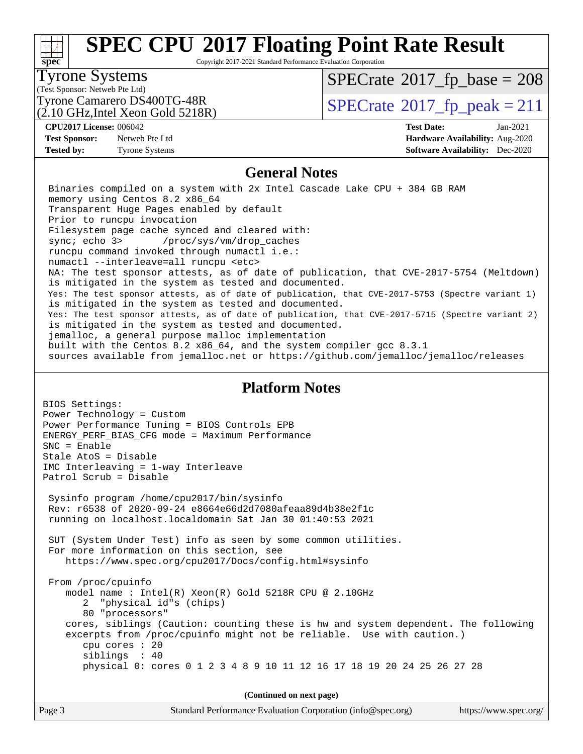# **[spec](http://www.spec.org/)**

# **[SPEC CPU](http://www.spec.org/auto/cpu2017/Docs/result-fields.html#SPECCPU2017FloatingPointRateResult)[2017 Floating Point Rate Result](http://www.spec.org/auto/cpu2017/Docs/result-fields.html#SPECCPU2017FloatingPointRateResult)**

Copyright 2017-2021 Standard Performance Evaluation Corporation

#### Tyrone Systems

(Test Sponsor: Netweb Pte Ltd)

(2.10 GHz,Intel Xeon Gold 5218R)

 $SPECTate$ <sup>®</sup>[2017\\_fp\\_base =](http://www.spec.org/auto/cpu2017/Docs/result-fields.html#SPECrate2017fpbase) 208

Tyrone Camarero DS400TG-48R<br> $\alpha$  10 GHz Intel Xeon Gold 5218R)  $\text{SPECrate}$  $\text{SPECrate}$  $\text{SPECrate}$ <sup>®</sup>[2017\\_fp\\_peak = 2](http://www.spec.org/auto/cpu2017/Docs/result-fields.html#SPECrate2017fppeak)11

**[Test Sponsor:](http://www.spec.org/auto/cpu2017/Docs/result-fields.html#TestSponsor)** Netweb Pte Ltd **[Hardware Availability:](http://www.spec.org/auto/cpu2017/Docs/result-fields.html#HardwareAvailability)** Aug-2020 **[Tested by:](http://www.spec.org/auto/cpu2017/Docs/result-fields.html#Testedby)** Tyrone Systems **[Software Availability:](http://www.spec.org/auto/cpu2017/Docs/result-fields.html#SoftwareAvailability)** Dec-2020

# **[CPU2017 License:](http://www.spec.org/auto/cpu2017/Docs/result-fields.html#CPU2017License)** 006042 **[Test Date:](http://www.spec.org/auto/cpu2017/Docs/result-fields.html#TestDate)** Jan-2021

### **[General Notes](http://www.spec.org/auto/cpu2017/Docs/result-fields.html#GeneralNotes)**

 Binaries compiled on a system with 2x Intel Cascade Lake CPU + 384 GB RAM memory using Centos 8.2 x86\_64 Transparent Huge Pages enabled by default Prior to runcpu invocation Filesystem page cache synced and cleared with: sync; echo 3> /proc/sys/vm/drop\_caches runcpu command invoked through numactl i.e.: numactl --interleave=all runcpu <etc> NA: The test sponsor attests, as of date of publication, that CVE-2017-5754 (Meltdown) is mitigated in the system as tested and documented. Yes: The test sponsor attests, as of date of publication, that CVE-2017-5753 (Spectre variant 1) is mitigated in the system as tested and documented. Yes: The test sponsor attests, as of date of publication, that CVE-2017-5715 (Spectre variant 2) is mitigated in the system as tested and documented. jemalloc, a general purpose malloc implementation built with the Centos 8.2 x86\_64, and the system compiler gcc 8.3.1 sources available from jemalloc.net or<https://github.com/jemalloc/jemalloc/releases>

### **[Platform Notes](http://www.spec.org/auto/cpu2017/Docs/result-fields.html#PlatformNotes)**

BIOS Settings: Power Technology = Custom Power Performance Tuning = BIOS Controls EPB ENERGY\_PERF\_BIAS\_CFG mode = Maximum Performance SNC = Enable Stale AtoS = Disable IMC Interleaving = 1-way Interleave Patrol Scrub = Disable Sysinfo program /home/cpu2017/bin/sysinfo Rev: r6538 of 2020-09-24 e8664e66d2d7080afeaa89d4b38e2f1c running on localhost.localdomain Sat Jan 30 01:40:53 2021 SUT (System Under Test) info as seen by some common utilities. For more information on this section, see <https://www.spec.org/cpu2017/Docs/config.html#sysinfo> From /proc/cpuinfo model name : Intel(R) Xeon(R) Gold 5218R CPU @ 2.10GHz 2 "physical id"s (chips) 80 "processors" cores, siblings (Caution: counting these is hw and system dependent. The following excerpts from /proc/cpuinfo might not be reliable. Use with caution.) cpu cores : 20 siblings : 40 physical 0: cores 0 1 2 3 4 8 9 10 11 12 16 17 18 19 20 24 25 26 27 28

**(Continued on next page)**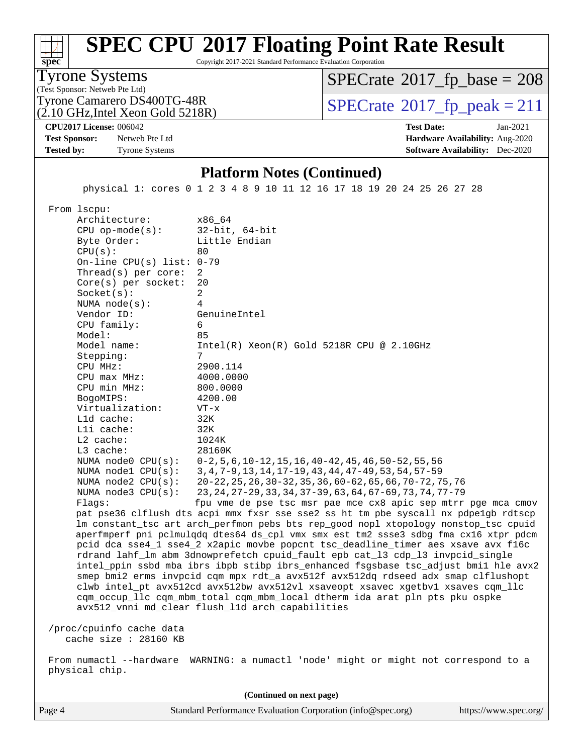Copyright 2017-2021 Standard Performance Evaluation Corporation

Tyrone Systems

**[spec](http://www.spec.org/)**

(Test Sponsor: Netweb Pte Ltd)

(2.10 GHz,Intel Xeon Gold 5218R)

 $SPECTate$ <sup>®</sup>[2017\\_fp\\_base =](http://www.spec.org/auto/cpu2017/Docs/result-fields.html#SPECrate2017fpbase) 208

Tyrone Camarero DS400TG-48R<br> $\alpha$  10 GHz Intel Xeon Gold 5218R)  $\text{SPECrate}$  $\text{SPECrate}$  $\text{SPECrate}$ <sup>®</sup>[2017\\_fp\\_peak = 2](http://www.spec.org/auto/cpu2017/Docs/result-fields.html#SPECrate2017fppeak)11

**[CPU2017 License:](http://www.spec.org/auto/cpu2017/Docs/result-fields.html#CPU2017License)** 006042 **[Test Date:](http://www.spec.org/auto/cpu2017/Docs/result-fields.html#TestDate)** Jan-2021

**[Test Sponsor:](http://www.spec.org/auto/cpu2017/Docs/result-fields.html#TestSponsor)** Netweb Pte Ltd **[Hardware Availability:](http://www.spec.org/auto/cpu2017/Docs/result-fields.html#HardwareAvailability)** Aug-2020 **[Tested by:](http://www.spec.org/auto/cpu2017/Docs/result-fields.html#Testedby)** Tyrone Systems **[Software Availability:](http://www.spec.org/auto/cpu2017/Docs/result-fields.html#SoftwareAvailability)** Dec-2020

#### **[Platform Notes \(Continued\)](http://www.spec.org/auto/cpu2017/Docs/result-fields.html#PlatformNotes)**

physical 1: cores 0 1 2 3 4 8 9 10 11 12 16 17 18 19 20 24 25 26 27 28

From lscpu:

Architecture: x86\_64<br>CPU op-mode(s): 32-bit, 64-bit CPU op-mode $(s):$ Byte Order: Little Endian  $CPU(s):$  80 On-line CPU(s) list: 0-79 Thread(s) per core: 2 Core(s) per socket: 20 Socket(s): 2 NUMA node(s): 4 Vendor ID: GenuineIntel CPU family: 6 Model: 85 Model name: Intel(R) Xeon(R) Gold 5218R CPU @ 2.10GHz Stepping: CPU MHz: 2900.114 CPU max MHz: 4000.0000 CPU min MHz: 800.0000 BogoMIPS: 4200.00 Virtualization: VT-x L1d cache: 32K L1i cache: 32K L2 cache: 1024K L3 cache: 28160K NUMA node0 CPU(s): 0-2,5,6,10-12,15,16,40-42,45,46,50-52,55,56 NUMA node1 CPU(s): 3,4,7-9,13,14,17-19,43,44,47-49,53,54,57-59 NUMA node2 CPU(s): 20-22,25,26,30-32,35,36,60-62,65,66,70-72,75,76 NUMA node3 CPU(s): 23,24,27-29,33,34,37-39,63,64,67-69,73,74,77-79 Flags: fpu vme de pse tsc msr pae mce cx8 apic sep mtrr pge mca cmov pat pse36 clflush dts acpi mmx fxsr sse sse2 ss ht tm pbe syscall nx pdpe1gb rdtscp lm constant\_tsc art arch\_perfmon pebs bts rep\_good nopl xtopology nonstop\_tsc cpuid aperfmperf pni pclmulqdq dtes64 ds\_cpl vmx smx est tm2 ssse3 sdbg fma cx16 xtpr pdcm pcid dca sse4\_1 sse4\_2 x2apic movbe popcnt tsc\_deadline\_timer aes xsave avx f16c rdrand lahf\_lm abm 3dnowprefetch cpuid\_fault epb cat\_l3 cdp\_l3 invpcid\_single intel\_ppin ssbd mba ibrs ibpb stibp ibrs\_enhanced fsgsbase tsc\_adjust bmi1 hle avx2 smep bmi2 erms invpcid cqm mpx rdt\_a avx512f avx512dq rdseed adx smap clflushopt clwb intel\_pt avx512cd avx512bw avx512vl xsaveopt xsavec xgetbv1 xsaves cqm\_llc cqm\_occup\_llc cqm\_mbm\_total cqm\_mbm\_local dtherm ida arat pln pts pku ospke avx512\_vnni md\_clear flush\_l1d arch\_capabilities /proc/cpuinfo cache data

cache size : 28160 KB

 From numactl --hardware WARNING: a numactl 'node' might or might not correspond to a physical chip.

Page 4 Standard Performance Evaluation Corporation [\(info@spec.org\)](mailto:info@spec.org) <https://www.spec.org/> **(Continued on next page)**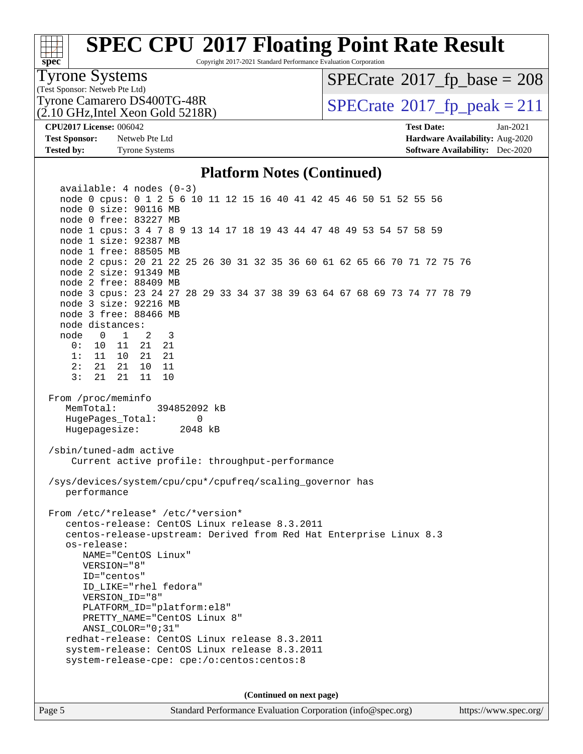# **[spec](http://www.spec.org/)**

## **[SPEC CPU](http://www.spec.org/auto/cpu2017/Docs/result-fields.html#SPECCPU2017FloatingPointRateResult)[2017 Floating Point Rate Result](http://www.spec.org/auto/cpu2017/Docs/result-fields.html#SPECCPU2017FloatingPointRateResult)**

Copyright 2017-2021 Standard Performance Evaluation Corporation

### Tyrone Systems

(Test Sponsor: Netweb Pte Ltd)

(2.10 GHz,Intel Xeon Gold 5218R)

 $SPECTate$ <sup>®</sup>[2017\\_fp\\_base =](http://www.spec.org/auto/cpu2017/Docs/result-fields.html#SPECrate2017fpbase) 208

Tyrone Camarero DS400TG-48R<br> $\alpha$  10 GHz Intel Xeon Gold 5218R)  $\text{SPECrate}$  $\text{SPECrate}$  $\text{SPECrate}$ <sup>®</sup>[2017\\_fp\\_peak = 2](http://www.spec.org/auto/cpu2017/Docs/result-fields.html#SPECrate2017fppeak)11

**[Tested by:](http://www.spec.org/auto/cpu2017/Docs/result-fields.html#Testedby)** Tyrone Systems **[Software Availability:](http://www.spec.org/auto/cpu2017/Docs/result-fields.html#SoftwareAvailability)** Dec-2020

**[CPU2017 License:](http://www.spec.org/auto/cpu2017/Docs/result-fields.html#CPU2017License)** 006042 **[Test Date:](http://www.spec.org/auto/cpu2017/Docs/result-fields.html#TestDate)** Jan-2021 **[Test Sponsor:](http://www.spec.org/auto/cpu2017/Docs/result-fields.html#TestSponsor)** Netweb Pte Ltd **[Hardware Availability:](http://www.spec.org/auto/cpu2017/Docs/result-fields.html#HardwareAvailability)** Aug-2020

#### **[Platform Notes \(Continued\)](http://www.spec.org/auto/cpu2017/Docs/result-fields.html#PlatformNotes)**

 available: 4 nodes (0-3) node 0 cpus: 0 1 2 5 6 10 11 12 15 16 40 41 42 45 46 50 51 52 55 56 node 0 size: 90116 MB node 0 free: 83227 MB node 1 cpus: 3 4 7 8 9 13 14 17 18 19 43 44 47 48 49 53 54 57 58 59 node 1 size: 92387 MB node 1 free: 88505 MB node 2 cpus: 20 21 22 25 26 30 31 32 35 36 60 61 62 65 66 70 71 72 75 76 node 2 size: 91349 MB node 2 free: 88409 MB node 3 cpus: 23 24 27 28 29 33 34 37 38 39 63 64 67 68 69 73 74 77 78 79 node 3 size: 92216 MB node 3 free: 88466 MB node distances: node 0 1 2 3 0: 10 11 21 21 1: 11 10 21 21 2: 21 21 10 11 3: 21 21 11 10 From /proc/meminfo MemTotal: 394852092 kB HugePages\_Total: 0 Hugepagesize: 2048 kB /sbin/tuned-adm active Current active profile: throughput-performance /sys/devices/system/cpu/cpu\*/cpufreq/scaling\_governor has performance From /etc/\*release\* /etc/\*version\* centos-release: CentOS Linux release 8.3.2011 centos-release-upstream: Derived from Red Hat Enterprise Linux 8.3 os-release: NAME="CentOS Linux" VERSION="8" ID="centos" ID\_LIKE="rhel fedora" VERSION\_ID="8" PLATFORM\_ID="platform:el8" PRETTY NAME="CentOS Linux 8" ANSI\_COLOR="0;31" redhat-release: CentOS Linux release 8.3.2011 system-release: CentOS Linux release 8.3.2011 system-release-cpe: cpe:/o:centos:centos:8 **(Continued on next page)**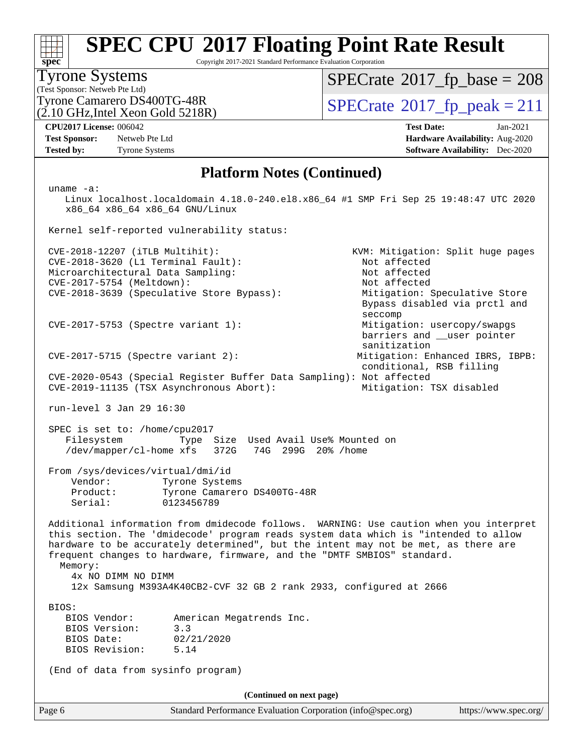Copyright 2017-2021 Standard Performance Evaluation Corporation

#### Tyrone Systems

**[spec](http://www.spec.org/)**

(Test Sponsor: Netweb Pte Ltd) (2.10 GHz,Intel Xeon Gold 5218R)  $SPECTate$ <sup>®</sup>[2017\\_fp\\_base =](http://www.spec.org/auto/cpu2017/Docs/result-fields.html#SPECrate2017fpbase) 208

Tyrone Camarero DS400TG-48R<br> $\alpha$  10 GHz Intel Xeon Gold 5218R)  $\text{SPECrate}$  $\text{SPECrate}$  $\text{SPECrate}$ <sup>®</sup>[2017\\_fp\\_peak = 2](http://www.spec.org/auto/cpu2017/Docs/result-fields.html#SPECrate2017fppeak)11

Bypass disabled via prctl and

barriers and \_\_user pointer

sanitization

**[Test Sponsor:](http://www.spec.org/auto/cpu2017/Docs/result-fields.html#TestSponsor)** Netweb Pte Ltd **[Hardware Availability:](http://www.spec.org/auto/cpu2017/Docs/result-fields.html#HardwareAvailability)** Aug-2020 **[Tested by:](http://www.spec.org/auto/cpu2017/Docs/result-fields.html#Testedby)** Tyrone Systems **[Software Availability:](http://www.spec.org/auto/cpu2017/Docs/result-fields.html#SoftwareAvailability)** Dec-2020

**[CPU2017 License:](http://www.spec.org/auto/cpu2017/Docs/result-fields.html#CPU2017License)** 006042 **[Test Date:](http://www.spec.org/auto/cpu2017/Docs/result-fields.html#TestDate)** Jan-2021

#### **[Platform Notes \(Continued\)](http://www.spec.org/auto/cpu2017/Docs/result-fields.html#PlatformNotes)**

uname -a:

 Linux localhost.localdomain 4.18.0-240.el8.x86\_64 #1 SMP Fri Sep 25 19:48:47 UTC 2020 x86\_64 x86\_64 x86\_64 GNU/Linux

Kernel self-reported vulnerability status:

 CVE-2018-12207 (iTLB Multihit): KVM: Mitigation: Split huge pages CVE-2018-3620 (L1 Terminal Fault): Not affected Microarchitectural Data Sampling: Not affected<br>
CVE-2017-5754 (Meltdown): Not affected  $CVE-2017-5754$  (Meltdown): CVE-2018-3639 (Speculative Store Bypass): Mitigation: Speculative Store

CVE-2017-5753 (Spectre variant 1): Mitigation: usercopy/swapgs

CVE-2017-5715 (Spectre variant 2): Mitigation: Enhanced IBRS, IBPB:

 conditional, RSB filling CVE-2020-0543 (Special Register Buffer Data Sampling): Not affected CVE-2019-11135 (TSX Asynchronous Abort): Mitigation: TSX disabled

run-level 3 Jan 29 16:30

 SPEC is set to: /home/cpu2017 Filesystem Type Size Used Avail Use% Mounted on /dev/mapper/cl-home xfs 372G 74G 299G 20% /home

seccompany and the contract of the contract of the contract of the second seconds of the contract of the contract of the contract of the contract of the contract of the contract of the contract of the contract of the contr

 From /sys/devices/virtual/dmi/id Vendor: Tyrone Systems

 Product: Tyrone Camarero DS400TG-48R Serial: 0123456789

 Additional information from dmidecode follows. WARNING: Use caution when you interpret this section. The 'dmidecode' program reads system data which is "intended to allow hardware to be accurately determined", but the intent may not be met, as there are frequent changes to hardware, firmware, and the "DMTF SMBIOS" standard.

Memory:

4x NO DIMM NO DIMM

12x Samsung M393A4K40CB2-CVF 32 GB 2 rank 2933, configured at 2666

BIOS:

| BIOS Vendor:   |            | American Megatrends Inc. |  |
|----------------|------------|--------------------------|--|
| BIOS Version:  | 3.3        |                          |  |
| BIOS Date:     | 02/21/2020 |                          |  |
| BIOS Revision: | 5.14       |                          |  |

(End of data from sysinfo program)

**(Continued on next page)**

Page 6 Standard Performance Evaluation Corporation [\(info@spec.org\)](mailto:info@spec.org) <https://www.spec.org/>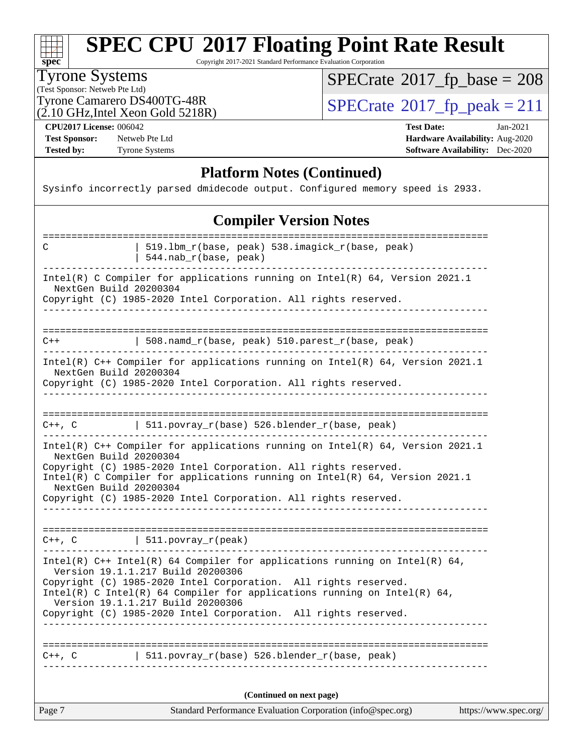

Copyright 2017-2021 Standard Performance Evaluation Corporation

#### Tyrone Systems

(Test Sponsor: Netweb Pte Ltd)

 $SPECrate$ <sup>®</sup>[2017\\_fp\\_base =](http://www.spec.org/auto/cpu2017/Docs/result-fields.html#SPECrate2017fpbase) 208

 $(2.10 \text{ GHz}, \text{Intel} \text{ Xeon} \text{ Gold } 5218 \text{R})$ 

Tyrone Camarero DS400TG-48R<br>(2.10 GHz Intel Xeon Gold 5218R)  $\text{SPECrate}$  $\text{SPECrate}$  $\text{SPECrate}$ <sup>®</sup>[2017\\_fp\\_peak = 2](http://www.spec.org/auto/cpu2017/Docs/result-fields.html#SPECrate2017fppeak)11

**[CPU2017 License:](http://www.spec.org/auto/cpu2017/Docs/result-fields.html#CPU2017License)** 006042 **[Test Date:](http://www.spec.org/auto/cpu2017/Docs/result-fields.html#TestDate)** Jan-2021

**[Test Sponsor:](http://www.spec.org/auto/cpu2017/Docs/result-fields.html#TestSponsor)** Netweb Pte Ltd **[Hardware Availability:](http://www.spec.org/auto/cpu2017/Docs/result-fields.html#HardwareAvailability)** Aug-2020

**[Tested by:](http://www.spec.org/auto/cpu2017/Docs/result-fields.html#Testedby)** Tyrone Systems **[Software Availability:](http://www.spec.org/auto/cpu2017/Docs/result-fields.html#SoftwareAvailability)** Dec-2020

#### **[Platform Notes \(Continued\)](http://www.spec.org/auto/cpu2017/Docs/result-fields.html#PlatformNotes)**

Sysinfo incorrectly parsed dmidecode output. Configured memory speed is 2933.

#### **[Compiler Version Notes](http://www.spec.org/auto/cpu2017/Docs/result-fields.html#CompilerVersionNotes)**

| ==================<br>C                          | 519.1bm_r(base, peak) 538.imagick_r(base, peak)<br>$544.nab_r(base, peak)$                                                                                                                                                                                                                                                                                               |
|--------------------------------------------------|--------------------------------------------------------------------------------------------------------------------------------------------------------------------------------------------------------------------------------------------------------------------------------------------------------------------------------------------------------------------------|
| NextGen Build 20200304                           | Intel(R) C Compiler for applications running on $Intel(R) 64$ , Version 2021.1<br>Copyright (C) 1985-2020 Intel Corporation. All rights reserved.                                                                                                                                                                                                                        |
|                                                  |                                                                                                                                                                                                                                                                                                                                                                          |
| $C++$                                            | 508.namd_r(base, peak) 510.parest_r(base, peak)                                                                                                                                                                                                                                                                                                                          |
| NextGen Build 20200304                           | Intel(R) C++ Compiler for applications running on Intel(R) 64, Version 2021.1<br>Copyright (C) 1985-2020 Intel Corporation. All rights reserved.                                                                                                                                                                                                                         |
|                                                  | $C++$ , C $\vert$ 511.povray_r(base) 526.blender_r(base, peak)                                                                                                                                                                                                                                                                                                           |
| NextGen Build 20200304<br>NextGen Build 20200304 | Intel(R) C++ Compiler for applications running on Intel(R) 64, Version 2021.1<br>Copyright (C) 1985-2020 Intel Corporation. All rights reserved.<br>Intel(R) C Compiler for applications running on $Intel(R) 64$ , Version 2021.1<br>Copyright (C) 1985-2020 Intel Corporation. All rights reserved.                                                                    |
| $C++$ , $C$                                      | $\vert$ 511.povray_r(peak)                                                                                                                                                                                                                                                                                                                                               |
|                                                  | Intel(R) $C++$ Intel(R) 64 Compiler for applications running on Intel(R) 64,<br>Version 19.1.1.217 Build 20200306<br>Copyright (C) 1985-2020 Intel Corporation. All rights reserved.<br>Intel(R) C Intel(R) 64 Compiler for applications running on Intel(R) 64,<br>Version 19.1.1.217 Build 20200306<br>Copyright (C) 1985-2020 Intel Corporation. All rights reserved. |
| $C++$ , $C$                                      | 511.povray_r(base) 526.blender_r(base, peak)                                                                                                                                                                                                                                                                                                                             |
|                                                  | (Continued on next page)                                                                                                                                                                                                                                                                                                                                                 |
| Page 7                                           | Standard Performance Evaluation Corporation (info@spec.org)<br>https://www.spec.org/                                                                                                                                                                                                                                                                                     |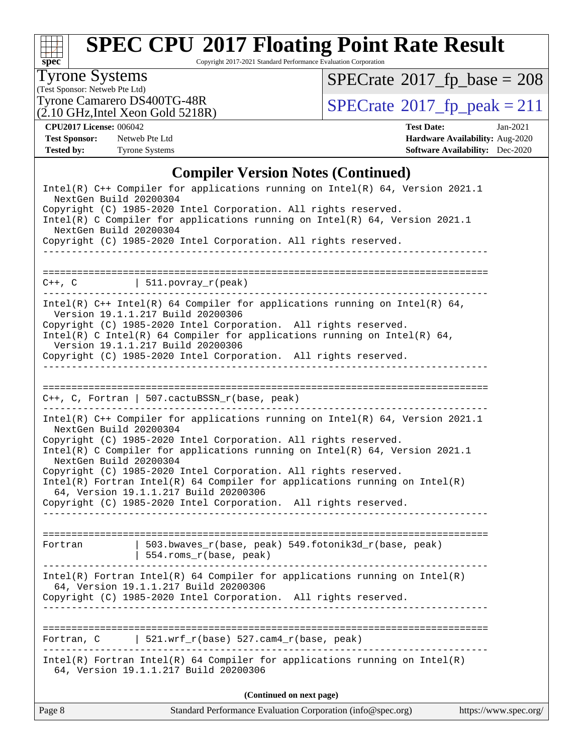

Copyright 2017-2021 Standard Performance Evaluation Corporation

### Tyrone Systems

(Test Sponsor: Netweb Pte Ltd)<br>Tyrone Camarero DS400TG-48R

 $(2.10 \text{ GHz}, \text{Intel} \text{ Xeon} \text{ Gold } 5218\text{R})$ 

 $SPECrate$ <sup>®</sup>[2017\\_fp\\_base =](http://www.spec.org/auto/cpu2017/Docs/result-fields.html#SPECrate2017fpbase) 208

 $SPECTate@2017_fp\_peak = 211$ 

**[CPU2017 License:](http://www.spec.org/auto/cpu2017/Docs/result-fields.html#CPU2017License)** 006042 **[Test Date:](http://www.spec.org/auto/cpu2017/Docs/result-fields.html#TestDate)** Jan-2021

**[Test Sponsor:](http://www.spec.org/auto/cpu2017/Docs/result-fields.html#TestSponsor)** Netweb Pte Ltd **[Hardware Availability:](http://www.spec.org/auto/cpu2017/Docs/result-fields.html#HardwareAvailability)** Aug-2020 **[Tested by:](http://www.spec.org/auto/cpu2017/Docs/result-fields.html#Testedby)** Tyrone Systems **[Software Availability:](http://www.spec.org/auto/cpu2017/Docs/result-fields.html#SoftwareAvailability)** Dec-2020

### **[Compiler Version Notes \(Continued\)](http://www.spec.org/auto/cpu2017/Docs/result-fields.html#CompilerVersionNotes)**

| Page 8                                           | Standard Performance Evaluation Corporation (info@spec.org)                                                                                                                                                                                                                                                                                                                                                                                                                                       | https://www.spec.org/ |
|--------------------------------------------------|---------------------------------------------------------------------------------------------------------------------------------------------------------------------------------------------------------------------------------------------------------------------------------------------------------------------------------------------------------------------------------------------------------------------------------------------------------------------------------------------------|-----------------------|
|                                                  | (Continued on next page)                                                                                                                                                                                                                                                                                                                                                                                                                                                                          |                       |
|                                                  | $Intel(R)$ Fortran Intel(R) 64 Compiler for applications running on Intel(R)<br>64, Version 19.1.1.217 Build 20200306                                                                                                                                                                                                                                                                                                                                                                             |                       |
| Fortran, C                                       | $521.wrf_r(base) 527.cam4_r(base, peak)$                                                                                                                                                                                                                                                                                                                                                                                                                                                          |                       |
|                                                  | $Intel(R)$ Fortran Intel(R) 64 Compiler for applications running on Intel(R)<br>64, Version 19.1.1.217 Build 20200306<br>Copyright (C) 1985-2020 Intel Corporation. All rights reserved.                                                                                                                                                                                                                                                                                                          |                       |
| Fortran                                          | 503.bwaves_r(base, peak) 549.fotonik3d_r(base, peak)<br>  554.roms_r(base, peak)                                                                                                                                                                                                                                                                                                                                                                                                                  |                       |
| NextGen Build 20200304<br>NextGen Build 20200304 | Intel(R) C++ Compiler for applications running on Intel(R) 64, Version 2021.1<br>Copyright (C) 1985-2020 Intel Corporation. All rights reserved.<br>Intel(R) C Compiler for applications running on Intel(R) $64$ , Version 2021.1<br>Copyright (C) 1985-2020 Intel Corporation. All rights reserved.<br>$Intel(R)$ Fortran Intel(R) 64 Compiler for applications running on Intel(R)<br>64, Version 19.1.1.217 Build 20200306<br>Copyright (C) 1985-2020 Intel Corporation. All rights reserved. |                       |
|                                                  | $C++$ , C, Fortran   507.cactuBSSN_r(base, peak)                                                                                                                                                                                                                                                                                                                                                                                                                                                  |                       |
|                                                  | Intel(R) $C++$ Intel(R) 64 Compiler for applications running on Intel(R) 64,<br>Version 19.1.1.217 Build 20200306<br>Copyright (C) 1985-2020 Intel Corporation. All rights reserved.<br>Intel(R) C Intel(R) 64 Compiler for applications running on Intel(R) 64,<br>Version 19.1.1.217 Build 20200306<br>Copyright (C) 1985-2020 Intel Corporation. All rights reserved.                                                                                                                          |                       |
| ___________________                              | $C++$ , $C$   511.povray_r(peak)                                                                                                                                                                                                                                                                                                                                                                                                                                                                  |                       |
| NextGen Build 20200304<br>NextGen Build 20200304 | Copyright (C) 1985-2020 Intel Corporation. All rights reserved.<br>Intel(R) C Compiler for applications running on Intel(R) $64$ , Version 2021.1<br>Copyright (C) 1985-2020 Intel Corporation. All rights reserved.                                                                                                                                                                                                                                                                              |                       |
|                                                  | Intel(R) C++ Compiler for applications running on Intel(R) 64, Version 2021.1                                                                                                                                                                                                                                                                                                                                                                                                                     |                       |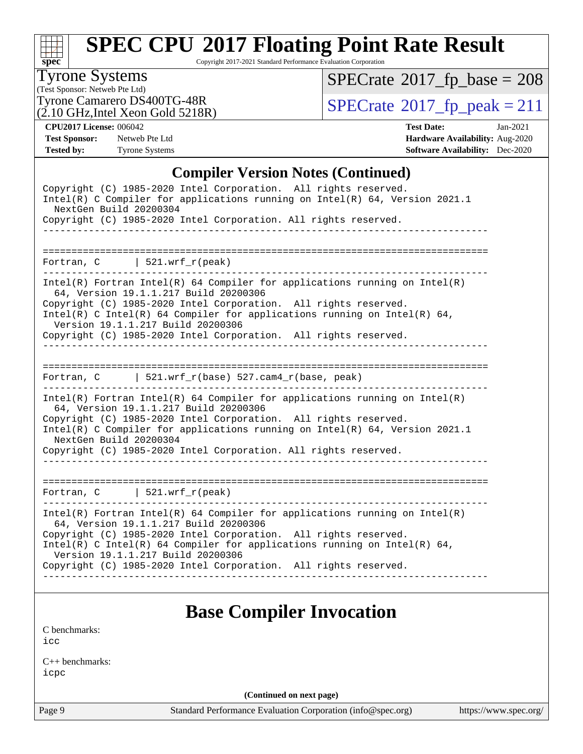

Copyright 2017-2021 Standard Performance Evaluation Corporation

#### Tyrone Systems

(Test Sponsor: Netweb Pte Ltd)  $(2.10 \text{ GHz}, \text{Intel} \text{ Xeon} \text{ Gold } 5218 \text{R})$   $SPECrate$ <sup>®</sup>[2017\\_fp\\_base =](http://www.spec.org/auto/cpu2017/Docs/result-fields.html#SPECrate2017fpbase) 208

Tyrone Camarero DS400TG-48R<br>(2.10 GHz Intel Xeon Gold 5218R)  $\text{SPECrate}$  $\text{SPECrate}$  $\text{SPECrate}$ <sup>®</sup>[2017\\_fp\\_peak = 2](http://www.spec.org/auto/cpu2017/Docs/result-fields.html#SPECrate2017fppeak)11

**[CPU2017 License:](http://www.spec.org/auto/cpu2017/Docs/result-fields.html#CPU2017License)** 006042 **[Test Date:](http://www.spec.org/auto/cpu2017/Docs/result-fields.html#TestDate)** Jan-2021 **[Test Sponsor:](http://www.spec.org/auto/cpu2017/Docs/result-fields.html#TestSponsor)** Netweb Pte Ltd **[Hardware Availability:](http://www.spec.org/auto/cpu2017/Docs/result-fields.html#HardwareAvailability)** Aug-2020 **[Tested by:](http://www.spec.org/auto/cpu2017/Docs/result-fields.html#Testedby)** Tyrone Systems **[Software Availability:](http://www.spec.org/auto/cpu2017/Docs/result-fields.html#SoftwareAvailability)** Dec-2020

#### **[Compiler Version Notes \(Continued\)](http://www.spec.org/auto/cpu2017/Docs/result-fields.html#CompilerVersionNotes)**

| Copyright (C) 1985-2020 Intel Corporation. All rights reserved.<br>Intel(R) C Compiler for applications running on $Intel(R) 64$ , Version 2021.1<br>NextGen Build 20200304<br>Copyright (C) 1985-2020 Intel Corporation. All rights reserved.                                                       |
|------------------------------------------------------------------------------------------------------------------------------------------------------------------------------------------------------------------------------------------------------------------------------------------------------|
| Fortran, $C$   521.wrf_r(peak)                                                                                                                                                                                                                                                                       |
| __________________________________                                                                                                                                                                                                                                                                   |
| $Intel(R)$ Fortran Intel(R) 64 Compiler for applications running on Intel(R)<br>64, Version 19.1.1.217 Build 20200306                                                                                                                                                                                |
| Copyright (C) 1985-2020 Intel Corporation. All rights reserved.<br>Intel(R) C Intel(R) 64 Compiler for applications running on Intel(R) 64,<br>Version 19.1.1.217 Build 20200306                                                                                                                     |
| Copyright (C) 1985-2020 Intel Corporation. All rights reserved.                                                                                                                                                                                                                                      |
| Fortran, $C$   521.wrf_r(base) 527.cam4_r(base, peak)                                                                                                                                                                                                                                                |
| $Intel(R)$ Fortran Intel(R) 64 Compiler for applications running on Intel(R)<br>64, Version 19.1.1.217 Build 20200306<br>Copyright (C) 1985-2020 Intel Corporation. All rights reserved.<br>Intel(R) C Compiler for applications running on $Intel(R) 64$ , Version 2021.1<br>NextGen Build 20200304 |
| Copyright (C) 1985-2020 Intel Corporation. All rights reserved.                                                                                                                                                                                                                                      |
| Fortran, $C$   521.wrf_r(peak)                                                                                                                                                                                                                                                                       |
| $Intel(R)$ Fortran Intel(R) 64 Compiler for applications running on Intel(R)<br>64, Version 19.1.1.217 Build 20200306                                                                                                                                                                                |
| Copyright (C) 1985-2020 Intel Corporation. All rights reserved.<br>Intel(R) C Intel(R) 64 Compiler for applications running on Intel(R) 64,                                                                                                                                                          |
| Version 19.1.1.217 Build 20200306<br>Copyright (C) 1985-2020 Intel Corporation. All rights reserved.                                                                                                                                                                                                 |
|                                                                                                                                                                                                                                                                                                      |
| <b>Base Compiler Invocation</b>                                                                                                                                                                                                                                                                      |
| C benchmarks:<br>icc                                                                                                                                                                                                                                                                                 |

[C++ benchmarks:](http://www.spec.org/auto/cpu2017/Docs/result-fields.html#CXXbenchmarks) [icpc](http://www.spec.org/cpu2017/results/res2021q1/cpu2017-20210201-24872.flags.html#user_CXXbase_intel_icpc_c510b6838c7f56d33e37e94d029a35b4a7bccf4766a728ee175e80a419847e808290a9b78be685c44ab727ea267ec2f070ec5dc83b407c0218cded6866a35d07)

**(Continued on next page)**

Page 9 Standard Performance Evaluation Corporation [\(info@spec.org\)](mailto:info@spec.org) <https://www.spec.org/>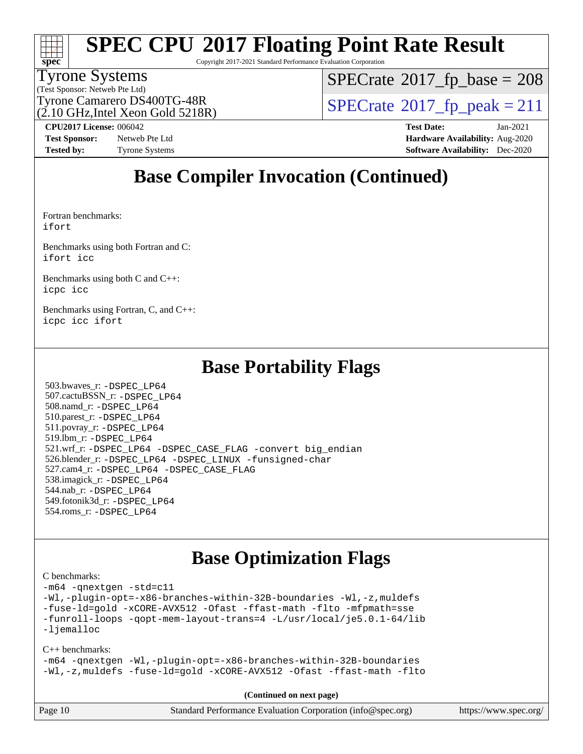

Copyright 2017-2021 Standard Performance Evaluation Corporation

#### Tyrone Systems

(Test Sponsor: Netweb Pte Ltd)

 $SPECTate$ <sup>®</sup>[2017\\_fp\\_base =](http://www.spec.org/auto/cpu2017/Docs/result-fields.html#SPECrate2017fpbase) 208

(2.10 GHz,Intel Xeon Gold 5218R)

Tyrone Camarero DS400TG-48R<br> $\alpha$  10 GHz Intel Xeon Gold 5218R)  $\text{SPECrate}$  $\text{SPECrate}$  $\text{SPECrate}$ <sup>®</sup>[2017\\_fp\\_peak = 2](http://www.spec.org/auto/cpu2017/Docs/result-fields.html#SPECrate2017fppeak)11

**[Tested by:](http://www.spec.org/auto/cpu2017/Docs/result-fields.html#Testedby)** Tyrone Systems **[Software Availability:](http://www.spec.org/auto/cpu2017/Docs/result-fields.html#SoftwareAvailability)** Dec-2020

**[CPU2017 License:](http://www.spec.org/auto/cpu2017/Docs/result-fields.html#CPU2017License)** 006042 **[Test Date:](http://www.spec.org/auto/cpu2017/Docs/result-fields.html#TestDate)** Jan-2021 **[Test Sponsor:](http://www.spec.org/auto/cpu2017/Docs/result-fields.html#TestSponsor)** Netweb Pte Ltd **[Hardware Availability:](http://www.spec.org/auto/cpu2017/Docs/result-fields.html#HardwareAvailability)** Aug-2020

### **[Base Compiler Invocation \(Continued\)](http://www.spec.org/auto/cpu2017/Docs/result-fields.html#BaseCompilerInvocation)**

[Fortran benchmarks](http://www.spec.org/auto/cpu2017/Docs/result-fields.html#Fortranbenchmarks): [ifort](http://www.spec.org/cpu2017/results/res2021q1/cpu2017-20210201-24872.flags.html#user_FCbase_intel_ifort_8111460550e3ca792625aed983ce982f94888b8b503583aa7ba2b8303487b4d8a21a13e7191a45c5fd58ff318f48f9492884d4413fa793fd88dd292cad7027ca)

[Benchmarks using both Fortran and C](http://www.spec.org/auto/cpu2017/Docs/result-fields.html#BenchmarksusingbothFortranandC): [ifort](http://www.spec.org/cpu2017/results/res2021q1/cpu2017-20210201-24872.flags.html#user_CC_FCbase_intel_ifort_8111460550e3ca792625aed983ce982f94888b8b503583aa7ba2b8303487b4d8a21a13e7191a45c5fd58ff318f48f9492884d4413fa793fd88dd292cad7027ca) [icc](http://www.spec.org/cpu2017/results/res2021q1/cpu2017-20210201-24872.flags.html#user_CC_FCbase_intel_icc_66fc1ee009f7361af1fbd72ca7dcefbb700085f36577c54f309893dd4ec40d12360134090235512931783d35fd58c0460139e722d5067c5574d8eaf2b3e37e92)

[Benchmarks using both C and C++](http://www.spec.org/auto/cpu2017/Docs/result-fields.html#BenchmarksusingbothCandCXX): [icpc](http://www.spec.org/cpu2017/results/res2021q1/cpu2017-20210201-24872.flags.html#user_CC_CXXbase_intel_icpc_c510b6838c7f56d33e37e94d029a35b4a7bccf4766a728ee175e80a419847e808290a9b78be685c44ab727ea267ec2f070ec5dc83b407c0218cded6866a35d07) [icc](http://www.spec.org/cpu2017/results/res2021q1/cpu2017-20210201-24872.flags.html#user_CC_CXXbase_intel_icc_66fc1ee009f7361af1fbd72ca7dcefbb700085f36577c54f309893dd4ec40d12360134090235512931783d35fd58c0460139e722d5067c5574d8eaf2b3e37e92)

[Benchmarks using Fortran, C, and C++:](http://www.spec.org/auto/cpu2017/Docs/result-fields.html#BenchmarksusingFortranCandCXX) [icpc](http://www.spec.org/cpu2017/results/res2021q1/cpu2017-20210201-24872.flags.html#user_CC_CXX_FCbase_intel_icpc_c510b6838c7f56d33e37e94d029a35b4a7bccf4766a728ee175e80a419847e808290a9b78be685c44ab727ea267ec2f070ec5dc83b407c0218cded6866a35d07) [icc](http://www.spec.org/cpu2017/results/res2021q1/cpu2017-20210201-24872.flags.html#user_CC_CXX_FCbase_intel_icc_66fc1ee009f7361af1fbd72ca7dcefbb700085f36577c54f309893dd4ec40d12360134090235512931783d35fd58c0460139e722d5067c5574d8eaf2b3e37e92) [ifort](http://www.spec.org/cpu2017/results/res2021q1/cpu2017-20210201-24872.flags.html#user_CC_CXX_FCbase_intel_ifort_8111460550e3ca792625aed983ce982f94888b8b503583aa7ba2b8303487b4d8a21a13e7191a45c5fd58ff318f48f9492884d4413fa793fd88dd292cad7027ca)

### **[Base Portability Flags](http://www.spec.org/auto/cpu2017/Docs/result-fields.html#BasePortabilityFlags)**

 503.bwaves\_r: [-DSPEC\\_LP64](http://www.spec.org/cpu2017/results/res2021q1/cpu2017-20210201-24872.flags.html#suite_basePORTABILITY503_bwaves_r_DSPEC_LP64) 507.cactuBSSN\_r: [-DSPEC\\_LP64](http://www.spec.org/cpu2017/results/res2021q1/cpu2017-20210201-24872.flags.html#suite_basePORTABILITY507_cactuBSSN_r_DSPEC_LP64) 508.namd\_r: [-DSPEC\\_LP64](http://www.spec.org/cpu2017/results/res2021q1/cpu2017-20210201-24872.flags.html#suite_basePORTABILITY508_namd_r_DSPEC_LP64) 510.parest\_r: [-DSPEC\\_LP64](http://www.spec.org/cpu2017/results/res2021q1/cpu2017-20210201-24872.flags.html#suite_basePORTABILITY510_parest_r_DSPEC_LP64) 511.povray\_r: [-DSPEC\\_LP64](http://www.spec.org/cpu2017/results/res2021q1/cpu2017-20210201-24872.flags.html#suite_basePORTABILITY511_povray_r_DSPEC_LP64) 519.lbm\_r: [-DSPEC\\_LP64](http://www.spec.org/cpu2017/results/res2021q1/cpu2017-20210201-24872.flags.html#suite_basePORTABILITY519_lbm_r_DSPEC_LP64) 521.wrf\_r: [-DSPEC\\_LP64](http://www.spec.org/cpu2017/results/res2021q1/cpu2017-20210201-24872.flags.html#suite_basePORTABILITY521_wrf_r_DSPEC_LP64) [-DSPEC\\_CASE\\_FLAG](http://www.spec.org/cpu2017/results/res2021q1/cpu2017-20210201-24872.flags.html#b521.wrf_r_baseCPORTABILITY_DSPEC_CASE_FLAG) [-convert big\\_endian](http://www.spec.org/cpu2017/results/res2021q1/cpu2017-20210201-24872.flags.html#user_baseFPORTABILITY521_wrf_r_convert_big_endian_c3194028bc08c63ac5d04de18c48ce6d347e4e562e8892b8bdbdc0214820426deb8554edfa529a3fb25a586e65a3d812c835984020483e7e73212c4d31a38223) 526.blender\_r: [-DSPEC\\_LP64](http://www.spec.org/cpu2017/results/res2021q1/cpu2017-20210201-24872.flags.html#suite_basePORTABILITY526_blender_r_DSPEC_LP64) [-DSPEC\\_LINUX](http://www.spec.org/cpu2017/results/res2021q1/cpu2017-20210201-24872.flags.html#b526.blender_r_baseCPORTABILITY_DSPEC_LINUX) [-funsigned-char](http://www.spec.org/cpu2017/results/res2021q1/cpu2017-20210201-24872.flags.html#user_baseCPORTABILITY526_blender_r_force_uchar_40c60f00ab013830e2dd6774aeded3ff59883ba5a1fc5fc14077f794d777847726e2a5858cbc7672e36e1b067e7e5c1d9a74f7176df07886a243d7cc18edfe67) 527.cam4\_r: [-DSPEC\\_LP64](http://www.spec.org/cpu2017/results/res2021q1/cpu2017-20210201-24872.flags.html#suite_basePORTABILITY527_cam4_r_DSPEC_LP64) [-DSPEC\\_CASE\\_FLAG](http://www.spec.org/cpu2017/results/res2021q1/cpu2017-20210201-24872.flags.html#b527.cam4_r_baseCPORTABILITY_DSPEC_CASE_FLAG) 538.imagick\_r: [-DSPEC\\_LP64](http://www.spec.org/cpu2017/results/res2021q1/cpu2017-20210201-24872.flags.html#suite_basePORTABILITY538_imagick_r_DSPEC_LP64) 544.nab\_r: [-DSPEC\\_LP64](http://www.spec.org/cpu2017/results/res2021q1/cpu2017-20210201-24872.flags.html#suite_basePORTABILITY544_nab_r_DSPEC_LP64) 549.fotonik3d\_r: [-DSPEC\\_LP64](http://www.spec.org/cpu2017/results/res2021q1/cpu2017-20210201-24872.flags.html#suite_basePORTABILITY549_fotonik3d_r_DSPEC_LP64) 554.roms\_r: [-DSPEC\\_LP64](http://www.spec.org/cpu2017/results/res2021q1/cpu2017-20210201-24872.flags.html#suite_basePORTABILITY554_roms_r_DSPEC_LP64)

### **[Base Optimization Flags](http://www.spec.org/auto/cpu2017/Docs/result-fields.html#BaseOptimizationFlags)**

[C benchmarks](http://www.spec.org/auto/cpu2017/Docs/result-fields.html#Cbenchmarks):

[-m64](http://www.spec.org/cpu2017/results/res2021q1/cpu2017-20210201-24872.flags.html#user_CCbase_m64-icc) [-qnextgen](http://www.spec.org/cpu2017/results/res2021q1/cpu2017-20210201-24872.flags.html#user_CCbase_f-qnextgen) [-std=c11](http://www.spec.org/cpu2017/results/res2021q1/cpu2017-20210201-24872.flags.html#user_CCbase_std-icc-std_0e1c27790398a4642dfca32ffe6c27b5796f9c2d2676156f2e42c9c44eaad0c049b1cdb667a270c34d979996257aeb8fc440bfb01818dbc9357bd9d174cb8524) [-Wl,-plugin-opt=-x86-branches-within-32B-boundaries](http://www.spec.org/cpu2017/results/res2021q1/cpu2017-20210201-24872.flags.html#user_CCbase_f-x86-branches-within-32B-boundaries_0098b4e4317ae60947b7b728078a624952a08ac37a3c797dfb4ffeb399e0c61a9dd0f2f44ce917e9361fb9076ccb15e7824594512dd315205382d84209e912f3) [-Wl,-z,muldefs](http://www.spec.org/cpu2017/results/res2021q1/cpu2017-20210201-24872.flags.html#user_CCbase_link_force_multiple1_b4cbdb97b34bdee9ceefcfe54f4c8ea74255f0b02a4b23e853cdb0e18eb4525ac79b5a88067c842dd0ee6996c24547a27a4b99331201badda8798ef8a743f577) [-fuse-ld=gold](http://www.spec.org/cpu2017/results/res2021q1/cpu2017-20210201-24872.flags.html#user_CCbase_f-fuse-ld_920b3586e2b8c6e0748b9c84fa9b744736ba725a32cab14ad8f3d4ad28eecb2f59d1144823d2e17006539a88734fe1fc08fc3035f7676166309105a78aaabc32) [-xCORE-AVX512](http://www.spec.org/cpu2017/results/res2021q1/cpu2017-20210201-24872.flags.html#user_CCbase_f-xCORE-AVX512) [-Ofast](http://www.spec.org/cpu2017/results/res2021q1/cpu2017-20210201-24872.flags.html#user_CCbase_f-Ofast) [-ffast-math](http://www.spec.org/cpu2017/results/res2021q1/cpu2017-20210201-24872.flags.html#user_CCbase_f-ffast-math) [-flto](http://www.spec.org/cpu2017/results/res2021q1/cpu2017-20210201-24872.flags.html#user_CCbase_f-flto) [-mfpmath=sse](http://www.spec.org/cpu2017/results/res2021q1/cpu2017-20210201-24872.flags.html#user_CCbase_f-mfpmath_70eb8fac26bde974f8ab713bc9086c5621c0b8d2f6c86f38af0bd7062540daf19db5f3a066d8c6684be05d84c9b6322eb3b5be6619d967835195b93d6c02afa1) [-funroll-loops](http://www.spec.org/cpu2017/results/res2021q1/cpu2017-20210201-24872.flags.html#user_CCbase_f-funroll-loops) [-qopt-mem-layout-trans=4](http://www.spec.org/cpu2017/results/res2021q1/cpu2017-20210201-24872.flags.html#user_CCbase_f-qopt-mem-layout-trans_fa39e755916c150a61361b7846f310bcdf6f04e385ef281cadf3647acec3f0ae266d1a1d22d972a7087a248fd4e6ca390a3634700869573d231a252c784941a8) [-L/usr/local/je5.0.1-64/lib](http://www.spec.org/cpu2017/results/res2021q1/cpu2017-20210201-24872.flags.html#user_CCbase_jemalloc_link_path64_4b10a636b7bce113509b17f3bd0d6226c5fb2346b9178c2d0232c14f04ab830f976640479e5c33dc2bcbbdad86ecfb6634cbbd4418746f06f368b512fced5394) [-ljemalloc](http://www.spec.org/cpu2017/results/res2021q1/cpu2017-20210201-24872.flags.html#user_CCbase_jemalloc_link_lib_d1249b907c500fa1c0672f44f562e3d0f79738ae9e3c4a9c376d49f265a04b9c99b167ecedbf6711b3085be911c67ff61f150a17b3472be731631ba4d0471706)

[C++ benchmarks:](http://www.spec.org/auto/cpu2017/Docs/result-fields.html#CXXbenchmarks)

[-m64](http://www.spec.org/cpu2017/results/res2021q1/cpu2017-20210201-24872.flags.html#user_CXXbase_m64-icc) [-qnextgen](http://www.spec.org/cpu2017/results/res2021q1/cpu2017-20210201-24872.flags.html#user_CXXbase_f-qnextgen) [-Wl,-plugin-opt=-x86-branches-within-32B-boundaries](http://www.spec.org/cpu2017/results/res2021q1/cpu2017-20210201-24872.flags.html#user_CXXbase_f-x86-branches-within-32B-boundaries_0098b4e4317ae60947b7b728078a624952a08ac37a3c797dfb4ffeb399e0c61a9dd0f2f44ce917e9361fb9076ccb15e7824594512dd315205382d84209e912f3) [-Wl,-z,muldefs](http://www.spec.org/cpu2017/results/res2021q1/cpu2017-20210201-24872.flags.html#user_CXXbase_link_force_multiple1_b4cbdb97b34bdee9ceefcfe54f4c8ea74255f0b02a4b23e853cdb0e18eb4525ac79b5a88067c842dd0ee6996c24547a27a4b99331201badda8798ef8a743f577) [-fuse-ld=gold](http://www.spec.org/cpu2017/results/res2021q1/cpu2017-20210201-24872.flags.html#user_CXXbase_f-fuse-ld_920b3586e2b8c6e0748b9c84fa9b744736ba725a32cab14ad8f3d4ad28eecb2f59d1144823d2e17006539a88734fe1fc08fc3035f7676166309105a78aaabc32) [-xCORE-AVX512](http://www.spec.org/cpu2017/results/res2021q1/cpu2017-20210201-24872.flags.html#user_CXXbase_f-xCORE-AVX512) [-Ofast](http://www.spec.org/cpu2017/results/res2021q1/cpu2017-20210201-24872.flags.html#user_CXXbase_f-Ofast) [-ffast-math](http://www.spec.org/cpu2017/results/res2021q1/cpu2017-20210201-24872.flags.html#user_CXXbase_f-ffast-math) [-flto](http://www.spec.org/cpu2017/results/res2021q1/cpu2017-20210201-24872.flags.html#user_CXXbase_f-flto)

**(Continued on next page)**

| Page 10 | Standard Performance Evaluation Corporation (info@spec.org) | https://www.spec.org/ |
|---------|-------------------------------------------------------------|-----------------------|
|---------|-------------------------------------------------------------|-----------------------|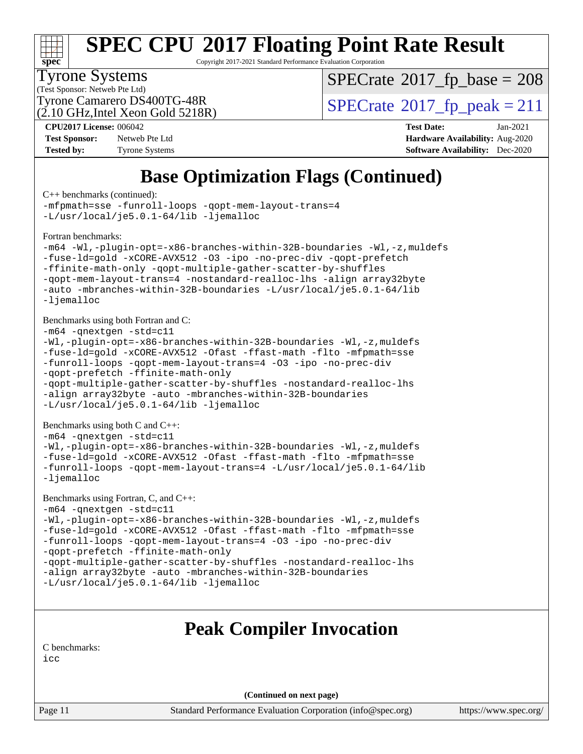

Copyright 2017-2021 Standard Performance Evaluation Corporation

#### Tyrone Systems

(Test Sponsor: Netweb Pte Ltd)

 $SPECTate$ <sup>®</sup>[2017\\_fp\\_base =](http://www.spec.org/auto/cpu2017/Docs/result-fields.html#SPECrate2017fpbase) 208

(2.10 GHz,Intel Xeon Gold 5218R)

Tyrone Camarero DS400TG-48R<br> $\alpha$  10 GHz Intel Xeon Gold 5218R)  $\text{SPECrate}$  $\text{SPECrate}$  $\text{SPECrate}$ <sup>®</sup>[2017\\_fp\\_peak = 2](http://www.spec.org/auto/cpu2017/Docs/result-fields.html#SPECrate2017fppeak)11

**[CPU2017 License:](http://www.spec.org/auto/cpu2017/Docs/result-fields.html#CPU2017License)** 006042 **[Test Date:](http://www.spec.org/auto/cpu2017/Docs/result-fields.html#TestDate)** Jan-2021

| <b>Test Sponsor:</b> | Netweb Pte Ltd        |
|----------------------|-----------------------|
| <b>Tested by:</b>    | <b>Tyrone Systems</b> |

**[Hardware Availability:](http://www.spec.org/auto/cpu2017/Docs/result-fields.html#HardwareAvailability)** Aug-2020 **[Software Availability:](http://www.spec.org/auto/cpu2017/Docs/result-fields.html#SoftwareAvailability)** Dec-2020

### **[Base Optimization Flags \(Continued\)](http://www.spec.org/auto/cpu2017/Docs/result-fields.html#BaseOptimizationFlags)**

[C++ benchmarks](http://www.spec.org/auto/cpu2017/Docs/result-fields.html#CXXbenchmarks) (continued):

```
-mfpmath=sse -funroll-loops -qopt-mem-layout-trans=4
-L/usr/local/je5.0.1-64/lib -ljemalloc
```
[Fortran benchmarks](http://www.spec.org/auto/cpu2017/Docs/result-fields.html#Fortranbenchmarks):

```
-m64 -Wl,-plugin-opt=-x86-branches-within-32B-boundaries -Wl,-z,muldefs
-fuse-ld=gold -xCORE-AVX512 -O3 -ipo -no-prec-div -qopt-prefetch
-ffinite-math-only -qopt-multiple-gather-scatter-by-shuffles
-qopt-mem-layout-trans=4 -nostandard-realloc-lhs -align array32byte
-auto -mbranches-within-32B-boundaries -L/usr/local/je5.0.1-64/lib
-ljemalloc
```
[Benchmarks using both Fortran and C](http://www.spec.org/auto/cpu2017/Docs/result-fields.html#BenchmarksusingbothFortranandC):

```
-m64 -qnextgen -std=c11
-Wl,-plugin-opt=-x86-branches-within-32B-boundaries -Wl,-z,muldefs
-fuse-ld=gold -xCORE-AVX512 -Ofast -ffast-math -flto -mfpmath=sse
-funroll-loops -qopt-mem-layout-trans=4 -O3 -ipo -no-prec-div
-qopt-prefetch -ffinite-math-only
-qopt-multiple-gather-scatter-by-shuffles -nostandard-realloc-lhs
-align array32byte -auto -mbranches-within-32B-boundaries
```
[-L/usr/local/je5.0.1-64/lib](http://www.spec.org/cpu2017/results/res2021q1/cpu2017-20210201-24872.flags.html#user_CC_FCbase_jemalloc_link_path64_4b10a636b7bce113509b17f3bd0d6226c5fb2346b9178c2d0232c14f04ab830f976640479e5c33dc2bcbbdad86ecfb6634cbbd4418746f06f368b512fced5394) [-ljemalloc](http://www.spec.org/cpu2017/results/res2021q1/cpu2017-20210201-24872.flags.html#user_CC_FCbase_jemalloc_link_lib_d1249b907c500fa1c0672f44f562e3d0f79738ae9e3c4a9c376d49f265a04b9c99b167ecedbf6711b3085be911c67ff61f150a17b3472be731631ba4d0471706)

[Benchmarks using both C and C++](http://www.spec.org/auto/cpu2017/Docs/result-fields.html#BenchmarksusingbothCandCXX):

```
-m64 -qnextgen -std=c11
-Wl,-plugin-opt=-x86-branches-within-32B-boundaries -Wl,-z,muldefs
-fuse-ld=gold -xCORE-AVX512 -Ofast -ffast-math -flto -mfpmath=sse
-funroll-loops -qopt-mem-layout-trans=4 -L/usr/local/je5.0.1-64/lib
-ljemalloc
```

```
Benchmarks using Fortran, C, and C++: 
-m64 -qnextgen -std=c11
-Wl,-plugin-opt=-x86-branches-within-32B-boundaries -Wl,-z,muldefs
-fuse-ld=gold -xCORE-AVX512 -Ofast -ffast-math -flto -mfpmath=sse
-funroll-loops -qopt-mem-layout-trans=4 -O3 -ipo -no-prec-div
-qopt-prefetch -ffinite-math-only
-qopt-multiple-gather-scatter-by-shuffles -nostandard-realloc-lhs
-align array32byte -auto -mbranches-within-32B-boundaries
-L/usr/local/je5.0.1-64/lib -ljemalloc
```
### **[Peak Compiler Invocation](http://www.spec.org/auto/cpu2017/Docs/result-fields.html#PeakCompilerInvocation)**

[C benchmarks](http://www.spec.org/auto/cpu2017/Docs/result-fields.html#Cbenchmarks):

[icc](http://www.spec.org/cpu2017/results/res2021q1/cpu2017-20210201-24872.flags.html#user_CCpeak_intel_icc_66fc1ee009f7361af1fbd72ca7dcefbb700085f36577c54f309893dd4ec40d12360134090235512931783d35fd58c0460139e722d5067c5574d8eaf2b3e37e92)

**(Continued on next page)**

Page 11 Standard Performance Evaluation Corporation [\(info@spec.org\)](mailto:info@spec.org) <https://www.spec.org/>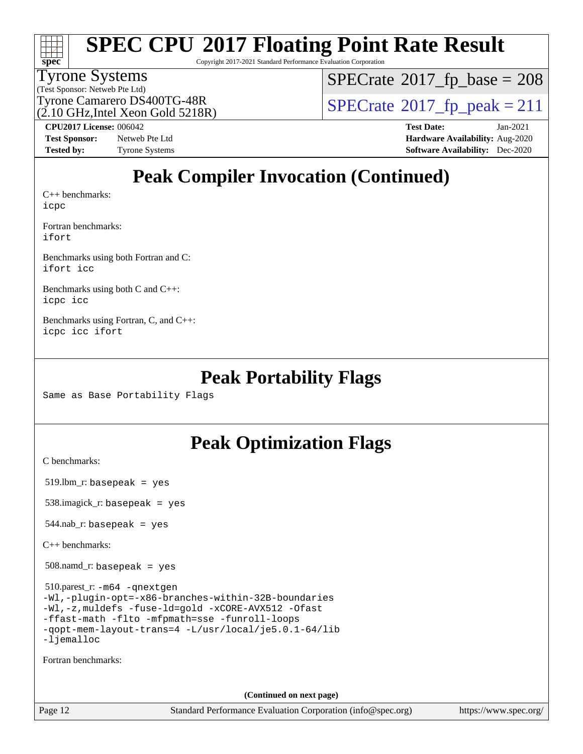

Copyright 2017-2021 Standard Performance Evaluation Corporation

#### Tyrone Systems

(Test Sponsor: Netweb Pte Ltd)

 $SPECTate$ <sup>®</sup>[2017\\_fp\\_base =](http://www.spec.org/auto/cpu2017/Docs/result-fields.html#SPECrate2017fpbase) 208

Tyrone Camarero DS400TG-48R<br> $\alpha$  10 GHz Intel Xeon Gold 5218R)  $\text{SPECrate}$  $\text{SPECrate}$  $\text{SPECrate}$ <sup>®</sup>[2017\\_fp\\_peak = 2](http://www.spec.org/auto/cpu2017/Docs/result-fields.html#SPECrate2017fppeak)11

(2.10 GHz,Intel Xeon Gold 5218R)

**[Test Sponsor:](http://www.spec.org/auto/cpu2017/Docs/result-fields.html#TestSponsor)** Netweb Pte Ltd **[Hardware Availability:](http://www.spec.org/auto/cpu2017/Docs/result-fields.html#HardwareAvailability)** Aug-2020 **[Tested by:](http://www.spec.org/auto/cpu2017/Docs/result-fields.html#Testedby)** Tyrone Systems **[Software Availability:](http://www.spec.org/auto/cpu2017/Docs/result-fields.html#SoftwareAvailability)** Dec-2020

**[CPU2017 License:](http://www.spec.org/auto/cpu2017/Docs/result-fields.html#CPU2017License)** 006042 **[Test Date:](http://www.spec.org/auto/cpu2017/Docs/result-fields.html#TestDate)** Jan-2021

### **[Peak Compiler Invocation \(Continued\)](http://www.spec.org/auto/cpu2017/Docs/result-fields.html#PeakCompilerInvocation)**

[C++ benchmarks:](http://www.spec.org/auto/cpu2017/Docs/result-fields.html#CXXbenchmarks) [icpc](http://www.spec.org/cpu2017/results/res2021q1/cpu2017-20210201-24872.flags.html#user_CXXpeak_intel_icpc_c510b6838c7f56d33e37e94d029a35b4a7bccf4766a728ee175e80a419847e808290a9b78be685c44ab727ea267ec2f070ec5dc83b407c0218cded6866a35d07)

[Fortran benchmarks](http://www.spec.org/auto/cpu2017/Docs/result-fields.html#Fortranbenchmarks): [ifort](http://www.spec.org/cpu2017/results/res2021q1/cpu2017-20210201-24872.flags.html#user_FCpeak_intel_ifort_8111460550e3ca792625aed983ce982f94888b8b503583aa7ba2b8303487b4d8a21a13e7191a45c5fd58ff318f48f9492884d4413fa793fd88dd292cad7027ca)

[Benchmarks using both Fortran and C](http://www.spec.org/auto/cpu2017/Docs/result-fields.html#BenchmarksusingbothFortranandC): [ifort](http://www.spec.org/cpu2017/results/res2021q1/cpu2017-20210201-24872.flags.html#user_CC_FCpeak_intel_ifort_8111460550e3ca792625aed983ce982f94888b8b503583aa7ba2b8303487b4d8a21a13e7191a45c5fd58ff318f48f9492884d4413fa793fd88dd292cad7027ca) [icc](http://www.spec.org/cpu2017/results/res2021q1/cpu2017-20210201-24872.flags.html#user_CC_FCpeak_intel_icc_66fc1ee009f7361af1fbd72ca7dcefbb700085f36577c54f309893dd4ec40d12360134090235512931783d35fd58c0460139e722d5067c5574d8eaf2b3e37e92)

[Benchmarks using both C and C++](http://www.spec.org/auto/cpu2017/Docs/result-fields.html#BenchmarksusingbothCandCXX): [icpc](http://www.spec.org/cpu2017/results/res2021q1/cpu2017-20210201-24872.flags.html#user_CC_CXXpeak_intel_icpc_c510b6838c7f56d33e37e94d029a35b4a7bccf4766a728ee175e80a419847e808290a9b78be685c44ab727ea267ec2f070ec5dc83b407c0218cded6866a35d07) [icc](http://www.spec.org/cpu2017/results/res2021q1/cpu2017-20210201-24872.flags.html#user_CC_CXXpeak_intel_icc_66fc1ee009f7361af1fbd72ca7dcefbb700085f36577c54f309893dd4ec40d12360134090235512931783d35fd58c0460139e722d5067c5574d8eaf2b3e37e92)

[Benchmarks using Fortran, C, and C++:](http://www.spec.org/auto/cpu2017/Docs/result-fields.html#BenchmarksusingFortranCandCXX) [icpc](http://www.spec.org/cpu2017/results/res2021q1/cpu2017-20210201-24872.flags.html#user_CC_CXX_FCpeak_intel_icpc_c510b6838c7f56d33e37e94d029a35b4a7bccf4766a728ee175e80a419847e808290a9b78be685c44ab727ea267ec2f070ec5dc83b407c0218cded6866a35d07) [icc](http://www.spec.org/cpu2017/results/res2021q1/cpu2017-20210201-24872.flags.html#user_CC_CXX_FCpeak_intel_icc_66fc1ee009f7361af1fbd72ca7dcefbb700085f36577c54f309893dd4ec40d12360134090235512931783d35fd58c0460139e722d5067c5574d8eaf2b3e37e92) [ifort](http://www.spec.org/cpu2017/results/res2021q1/cpu2017-20210201-24872.flags.html#user_CC_CXX_FCpeak_intel_ifort_8111460550e3ca792625aed983ce982f94888b8b503583aa7ba2b8303487b4d8a21a13e7191a45c5fd58ff318f48f9492884d4413fa793fd88dd292cad7027ca)

### **[Peak Portability Flags](http://www.spec.org/auto/cpu2017/Docs/result-fields.html#PeakPortabilityFlags)**

Same as Base Portability Flags

### **[Peak Optimization Flags](http://www.spec.org/auto/cpu2017/Docs/result-fields.html#PeakOptimizationFlags)**

[C benchmarks](http://www.spec.org/auto/cpu2017/Docs/result-fields.html#Cbenchmarks):

519.lbm\_r: basepeak = yes

538.imagick\_r: basepeak = yes

 $544$ .nab\_r: basepeak = yes

[C++ benchmarks:](http://www.spec.org/auto/cpu2017/Docs/result-fields.html#CXXbenchmarks)

508.namd\_r: basepeak = yes

 510.parest\_r: [-m64](http://www.spec.org/cpu2017/results/res2021q1/cpu2017-20210201-24872.flags.html#user_peakCXXLD510_parest_r_m64-icc) [-qnextgen](http://www.spec.org/cpu2017/results/res2021q1/cpu2017-20210201-24872.flags.html#user_peakCXXLD510_parest_r_f-qnextgen) [-Wl,-plugin-opt=-x86-branches-within-32B-boundaries](http://www.spec.org/cpu2017/results/res2021q1/cpu2017-20210201-24872.flags.html#user_peakLDFLAGS510_parest_r_f-x86-branches-within-32B-boundaries_0098b4e4317ae60947b7b728078a624952a08ac37a3c797dfb4ffeb399e0c61a9dd0f2f44ce917e9361fb9076ccb15e7824594512dd315205382d84209e912f3) [-Wl,-z,muldefs](http://www.spec.org/cpu2017/results/res2021q1/cpu2017-20210201-24872.flags.html#user_peakEXTRA_LDFLAGS510_parest_r_link_force_multiple1_b4cbdb97b34bdee9ceefcfe54f4c8ea74255f0b02a4b23e853cdb0e18eb4525ac79b5a88067c842dd0ee6996c24547a27a4b99331201badda8798ef8a743f577) [-fuse-ld=gold](http://www.spec.org/cpu2017/results/res2021q1/cpu2017-20210201-24872.flags.html#user_peakEXTRA_LDFLAGS510_parest_r_f-fuse-ld_920b3586e2b8c6e0748b9c84fa9b744736ba725a32cab14ad8f3d4ad28eecb2f59d1144823d2e17006539a88734fe1fc08fc3035f7676166309105a78aaabc32) [-xCORE-AVX512](http://www.spec.org/cpu2017/results/res2021q1/cpu2017-20210201-24872.flags.html#user_peakCXXOPTIMIZE510_parest_r_f-xCORE-AVX512) [-Ofast](http://www.spec.org/cpu2017/results/res2021q1/cpu2017-20210201-24872.flags.html#user_peakCXXOPTIMIZE510_parest_r_f-Ofast) [-ffast-math](http://www.spec.org/cpu2017/results/res2021q1/cpu2017-20210201-24872.flags.html#user_peakCXXOPTIMIZE510_parest_r_f-ffast-math) [-flto](http://www.spec.org/cpu2017/results/res2021q1/cpu2017-20210201-24872.flags.html#user_peakCXXOPTIMIZE510_parest_r_f-flto) [-mfpmath=sse](http://www.spec.org/cpu2017/results/res2021q1/cpu2017-20210201-24872.flags.html#user_peakCXXOPTIMIZE510_parest_r_f-mfpmath_70eb8fac26bde974f8ab713bc9086c5621c0b8d2f6c86f38af0bd7062540daf19db5f3a066d8c6684be05d84c9b6322eb3b5be6619d967835195b93d6c02afa1) [-funroll-loops](http://www.spec.org/cpu2017/results/res2021q1/cpu2017-20210201-24872.flags.html#user_peakCXXOPTIMIZE510_parest_r_f-funroll-loops) [-qopt-mem-layout-trans=4](http://www.spec.org/cpu2017/results/res2021q1/cpu2017-20210201-24872.flags.html#user_peakCXXOPTIMIZE510_parest_r_f-qopt-mem-layout-trans_fa39e755916c150a61361b7846f310bcdf6f04e385ef281cadf3647acec3f0ae266d1a1d22d972a7087a248fd4e6ca390a3634700869573d231a252c784941a8) [-L/usr/local/je5.0.1-64/lib](http://www.spec.org/cpu2017/results/res2021q1/cpu2017-20210201-24872.flags.html#user_peakEXTRA_LIBS510_parest_r_jemalloc_link_path64_4b10a636b7bce113509b17f3bd0d6226c5fb2346b9178c2d0232c14f04ab830f976640479e5c33dc2bcbbdad86ecfb6634cbbd4418746f06f368b512fced5394) [-ljemalloc](http://www.spec.org/cpu2017/results/res2021q1/cpu2017-20210201-24872.flags.html#user_peakEXTRA_LIBS510_parest_r_jemalloc_link_lib_d1249b907c500fa1c0672f44f562e3d0f79738ae9e3c4a9c376d49f265a04b9c99b167ecedbf6711b3085be911c67ff61f150a17b3472be731631ba4d0471706)

[Fortran benchmarks](http://www.spec.org/auto/cpu2017/Docs/result-fields.html#Fortranbenchmarks):

**(Continued on next page)**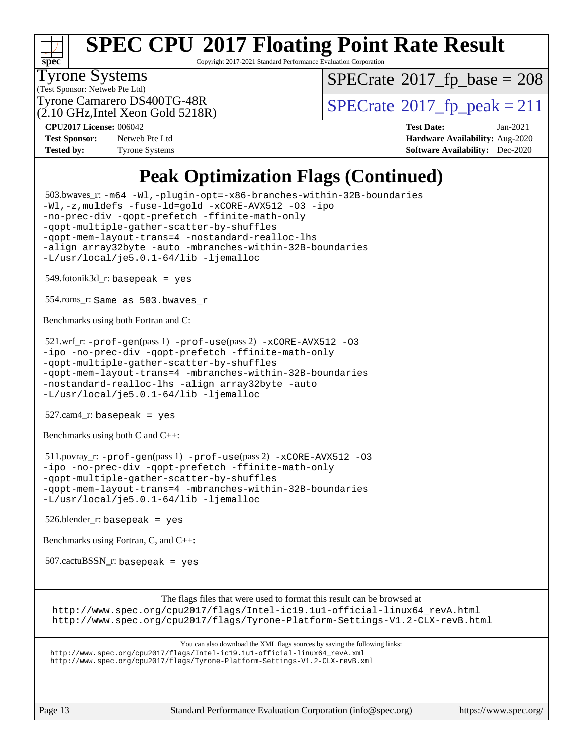

Copyright 2017-2021 Standard Performance Evaluation Corporation

#### Tyrone Systems

(Test Sponsor: Netweb Pte Ltd)

 $SPECTate$ <sup>®</sup>[2017\\_fp\\_base =](http://www.spec.org/auto/cpu2017/Docs/result-fields.html#SPECrate2017fpbase) 208

(2.10 GHz,Intel Xeon Gold 5218R)

Tyrone Camarero DS400TG-48R<br> $\alpha$  10 GHz Intel Xeon Gold 5218R)  $\text{SPECrate}$  $\text{SPECrate}$  $\text{SPECrate}$ <sup>®</sup>[2017\\_fp\\_peak = 2](http://www.spec.org/auto/cpu2017/Docs/result-fields.html#SPECrate2017fppeak)11

**[Test Sponsor:](http://www.spec.org/auto/cpu2017/Docs/result-fields.html#TestSponsor)** Netweb Pte Ltd **[Hardware Availability:](http://www.spec.org/auto/cpu2017/Docs/result-fields.html#HardwareAvailability)** Aug-2020

**[CPU2017 License:](http://www.spec.org/auto/cpu2017/Docs/result-fields.html#CPU2017License)** 006042 **[Test Date:](http://www.spec.org/auto/cpu2017/Docs/result-fields.html#TestDate)** Jan-2021 **[Tested by:](http://www.spec.org/auto/cpu2017/Docs/result-fields.html#Testedby)** Tyrone Systems **[Software Availability:](http://www.spec.org/auto/cpu2017/Docs/result-fields.html#SoftwareAvailability)** Dec-2020

### **[Peak Optimization Flags \(Continued\)](http://www.spec.org/auto/cpu2017/Docs/result-fields.html#PeakOptimizationFlags)**

 503.bwaves\_r: [-m64](http://www.spec.org/cpu2017/results/res2021q1/cpu2017-20210201-24872.flags.html#user_peakFCLD503_bwaves_r_m64-icc) [-Wl,-plugin-opt=-x86-branches-within-32B-boundaries](http://www.spec.org/cpu2017/results/res2021q1/cpu2017-20210201-24872.flags.html#user_peakLDFLAGS503_bwaves_r_f-x86-branches-within-32B-boundaries_0098b4e4317ae60947b7b728078a624952a08ac37a3c797dfb4ffeb399e0c61a9dd0f2f44ce917e9361fb9076ccb15e7824594512dd315205382d84209e912f3) [-Wl,-z,muldefs](http://www.spec.org/cpu2017/results/res2021q1/cpu2017-20210201-24872.flags.html#user_peakEXTRA_LDFLAGS503_bwaves_r_link_force_multiple1_b4cbdb97b34bdee9ceefcfe54f4c8ea74255f0b02a4b23e853cdb0e18eb4525ac79b5a88067c842dd0ee6996c24547a27a4b99331201badda8798ef8a743f577) [-fuse-ld=gold](http://www.spec.org/cpu2017/results/res2021q1/cpu2017-20210201-24872.flags.html#user_peakEXTRA_LDFLAGS503_bwaves_r_f-fuse-ld_920b3586e2b8c6e0748b9c84fa9b744736ba725a32cab14ad8f3d4ad28eecb2f59d1144823d2e17006539a88734fe1fc08fc3035f7676166309105a78aaabc32) [-xCORE-AVX512](http://www.spec.org/cpu2017/results/res2021q1/cpu2017-20210201-24872.flags.html#user_peakFOPTIMIZE503_bwaves_r_f-xCORE-AVX512) [-O3](http://www.spec.org/cpu2017/results/res2021q1/cpu2017-20210201-24872.flags.html#user_peakFOPTIMIZE503_bwaves_r_f-O3) [-ipo](http://www.spec.org/cpu2017/results/res2021q1/cpu2017-20210201-24872.flags.html#user_peakFOPTIMIZE503_bwaves_r_f-ipo) [-no-prec-div](http://www.spec.org/cpu2017/results/res2021q1/cpu2017-20210201-24872.flags.html#user_peakFOPTIMIZE503_bwaves_r_f-no-prec-div) [-qopt-prefetch](http://www.spec.org/cpu2017/results/res2021q1/cpu2017-20210201-24872.flags.html#user_peakFOPTIMIZE503_bwaves_r_f-qopt-prefetch) [-ffinite-math-only](http://www.spec.org/cpu2017/results/res2021q1/cpu2017-20210201-24872.flags.html#user_peakFOPTIMIZE503_bwaves_r_f_finite_math_only_cb91587bd2077682c4b38af759c288ed7c732db004271a9512da14a4f8007909a5f1427ecbf1a0fb78ff2a814402c6114ac565ca162485bbcae155b5e4258871) [-qopt-multiple-gather-scatter-by-shuffles](http://www.spec.org/cpu2017/results/res2021q1/cpu2017-20210201-24872.flags.html#user_peakFOPTIMIZE503_bwaves_r_f-qopt-multiple-gather-scatter-by-shuffles) [-qopt-mem-layout-trans=4](http://www.spec.org/cpu2017/results/res2021q1/cpu2017-20210201-24872.flags.html#user_peakFOPTIMIZE503_bwaves_r_f-qopt-mem-layout-trans_fa39e755916c150a61361b7846f310bcdf6f04e385ef281cadf3647acec3f0ae266d1a1d22d972a7087a248fd4e6ca390a3634700869573d231a252c784941a8) [-nostandard-realloc-lhs](http://www.spec.org/cpu2017/results/res2021q1/cpu2017-20210201-24872.flags.html#user_peakEXTRA_FOPTIMIZE503_bwaves_r_f_2003_std_realloc_82b4557e90729c0f113870c07e44d33d6f5a304b4f63d4c15d2d0f1fab99f5daaed73bdb9275d9ae411527f28b936061aa8b9c8f2d63842963b95c9dd6426b8a) [-align array32byte](http://www.spec.org/cpu2017/results/res2021q1/cpu2017-20210201-24872.flags.html#user_peakEXTRA_FOPTIMIZE503_bwaves_r_align_array32byte_b982fe038af199962ba9a80c053b8342c548c85b40b8e86eb3cc33dee0d7986a4af373ac2d51c3f7cf710a18d62fdce2948f201cd044323541f22fc0fffc51b6) [-auto](http://www.spec.org/cpu2017/results/res2021q1/cpu2017-20210201-24872.flags.html#user_peakEXTRA_FOPTIMIZE503_bwaves_r_f-auto) [-mbranches-within-32B-boundaries](http://www.spec.org/cpu2017/results/res2021q1/cpu2017-20210201-24872.flags.html#user_peakEXTRA_FOPTIMIZE503_bwaves_r_f-mbranches-within-32B-boundaries) [-L/usr/local/je5.0.1-64/lib](http://www.spec.org/cpu2017/results/res2021q1/cpu2017-20210201-24872.flags.html#user_peakEXTRA_LIBS503_bwaves_r_jemalloc_link_path64_4b10a636b7bce113509b17f3bd0d6226c5fb2346b9178c2d0232c14f04ab830f976640479e5c33dc2bcbbdad86ecfb6634cbbd4418746f06f368b512fced5394) [-ljemalloc](http://www.spec.org/cpu2017/results/res2021q1/cpu2017-20210201-24872.flags.html#user_peakEXTRA_LIBS503_bwaves_r_jemalloc_link_lib_d1249b907c500fa1c0672f44f562e3d0f79738ae9e3c4a9c376d49f265a04b9c99b167ecedbf6711b3085be911c67ff61f150a17b3472be731631ba4d0471706)  $549.$ fotonik $3d$ \_r: basepeak = yes 554.roms\_r: Same as 503.bwaves\_r [Benchmarks using both Fortran and C](http://www.spec.org/auto/cpu2017/Docs/result-fields.html#BenchmarksusingbothFortranandC):  $521.wrf_r$ :  $-$ prof $-$ gen(pass 1)  $-$ prof $-$ use(pass 2)  $-x$ CORE $-$ AVX512 [-O3](http://www.spec.org/cpu2017/results/res2021q1/cpu2017-20210201-24872.flags.html#user_peakCOPTIMIZEPASS1_COPTIMIZEPASS1_FOPTIMIZEPASS2_COPTIMIZEPASS2_FOPTIMIZE521_wrf_r_f-O3) [-ipo](http://www.spec.org/cpu2017/results/res2021q1/cpu2017-20210201-24872.flags.html#user_peakCOPTIMIZEPASS1_COPTIMIZEPASS1_FOPTIMIZEPASS2_COPTIMIZEPASS2_FOPTIMIZE521_wrf_r_f-ipo) [-no-prec-div](http://www.spec.org/cpu2017/results/res2021q1/cpu2017-20210201-24872.flags.html#user_peakCOPTIMIZEPASS1_COPTIMIZEPASS1_FOPTIMIZEPASS2_COPTIMIZEPASS2_FOPTIMIZE521_wrf_r_f-no-prec-div) [-qopt-prefetch](http://www.spec.org/cpu2017/results/res2021q1/cpu2017-20210201-24872.flags.html#user_peakCOPTIMIZEPASS1_COPTIMIZEPASS1_FOPTIMIZEPASS2_COPTIMIZEPASS2_FOPTIMIZE521_wrf_r_f-qopt-prefetch) [-ffinite-math-only](http://www.spec.org/cpu2017/results/res2021q1/cpu2017-20210201-24872.flags.html#user_peakCOPTIMIZEPASS1_COPTIMIZEPASS1_FOPTIMIZEPASS2_COPTIMIZEPASS2_FOPTIMIZE521_wrf_r_f_finite_math_only_cb91587bd2077682c4b38af759c288ed7c732db004271a9512da14a4f8007909a5f1427ecbf1a0fb78ff2a814402c6114ac565ca162485bbcae155b5e4258871) [-qopt-multiple-gather-scatter-by-shuffles](http://www.spec.org/cpu2017/results/res2021q1/cpu2017-20210201-24872.flags.html#user_peakCOPTIMIZEPASS1_COPTIMIZEPASS1_FOPTIMIZEPASS2_COPTIMIZEPASS2_FOPTIMIZE521_wrf_r_f-qopt-multiple-gather-scatter-by-shuffles) [-qopt-mem-layout-trans=4](http://www.spec.org/cpu2017/results/res2021q1/cpu2017-20210201-24872.flags.html#user_peakCOPTIMIZEFOPTIMIZEPASS1_COPTIMIZEPASS1_FOPTIMIZEPASS2_COPTIMIZEPASS2_FOPTIMIZE521_wrf_r_f-qopt-mem-layout-trans_fa39e755916c150a61361b7846f310bcdf6f04e385ef281cadf3647acec3f0ae266d1a1d22d972a7087a248fd4e6ca390a3634700869573d231a252c784941a8) [-mbranches-within-32B-boundaries](http://www.spec.org/cpu2017/results/res2021q1/cpu2017-20210201-24872.flags.html#user_peakEXTRA_COPTIMIZEEXTRA_FOPTIMIZE521_wrf_r_f-mbranches-within-32B-boundaries) [-nostandard-realloc-lhs](http://www.spec.org/cpu2017/results/res2021q1/cpu2017-20210201-24872.flags.html#user_peakEXTRA_FOPTIMIZE521_wrf_r_f_2003_std_realloc_82b4557e90729c0f113870c07e44d33d6f5a304b4f63d4c15d2d0f1fab99f5daaed73bdb9275d9ae411527f28b936061aa8b9c8f2d63842963b95c9dd6426b8a) [-align array32byte](http://www.spec.org/cpu2017/results/res2021q1/cpu2017-20210201-24872.flags.html#user_peakEXTRA_FOPTIMIZE521_wrf_r_align_array32byte_b982fe038af199962ba9a80c053b8342c548c85b40b8e86eb3cc33dee0d7986a4af373ac2d51c3f7cf710a18d62fdce2948f201cd044323541f22fc0fffc51b6) [-auto](http://www.spec.org/cpu2017/results/res2021q1/cpu2017-20210201-24872.flags.html#user_peakEXTRA_FOPTIMIZE521_wrf_r_f-auto) [-L/usr/local/je5.0.1-64/lib](http://www.spec.org/cpu2017/results/res2021q1/cpu2017-20210201-24872.flags.html#user_peakEXTRA_LIBS521_wrf_r_jemalloc_link_path64_4b10a636b7bce113509b17f3bd0d6226c5fb2346b9178c2d0232c14f04ab830f976640479e5c33dc2bcbbdad86ecfb6634cbbd4418746f06f368b512fced5394) [-ljemalloc](http://www.spec.org/cpu2017/results/res2021q1/cpu2017-20210201-24872.flags.html#user_peakEXTRA_LIBS521_wrf_r_jemalloc_link_lib_d1249b907c500fa1c0672f44f562e3d0f79738ae9e3c4a9c376d49f265a04b9c99b167ecedbf6711b3085be911c67ff61f150a17b3472be731631ba4d0471706) 527.cam4\_r: basepeak = yes [Benchmarks using both C and C++](http://www.spec.org/auto/cpu2017/Docs/result-fields.html#BenchmarksusingbothCandCXX): 511.povray\_r: [-prof-gen](http://www.spec.org/cpu2017/results/res2021q1/cpu2017-20210201-24872.flags.html#user_peakPASS1_CFLAGSPASS1_CXXFLAGSPASS1_LDFLAGS511_povray_r_prof_gen_5aa4926d6013ddb2a31985c654b3eb18169fc0c6952a63635c234f711e6e63dd76e94ad52365559451ec499a2cdb89e4dc58ba4c67ef54ca681ffbe1461d6b36)(pass 1) [-prof-use](http://www.spec.org/cpu2017/results/res2021q1/cpu2017-20210201-24872.flags.html#user_peakPASS2_CFLAGSPASS2_CXXFLAGSPASS2_LDFLAGS511_povray_r_prof_use_1a21ceae95f36a2b53c25747139a6c16ca95bd9def2a207b4f0849963b97e94f5260e30a0c64f4bb623698870e679ca08317ef8150905d41bd88c6f78df73f19)(pass 2) [-xCORE-AVX512](http://www.spec.org/cpu2017/results/res2021q1/cpu2017-20210201-24872.flags.html#user_peakCOPTIMIZECXXOPTIMIZEPASS2_COPTIMIZEPASS2_CXXOPTIMIZE511_povray_r_f-xCORE-AVX512) [-O3](http://www.spec.org/cpu2017/results/res2021q1/cpu2017-20210201-24872.flags.html#user_peakCOPTIMIZECXXOPTIMIZEPASS1_COPTIMIZEPASS1_CXXOPTIMIZEPASS2_COPTIMIZEPASS2_CXXOPTIMIZE511_povray_r_f-O3) [-ipo](http://www.spec.org/cpu2017/results/res2021q1/cpu2017-20210201-24872.flags.html#user_peakCOPTIMIZECXXOPTIMIZEPASS1_COPTIMIZEPASS1_CXXOPTIMIZEPASS2_COPTIMIZEPASS2_CXXOPTIMIZE511_povray_r_f-ipo) [-no-prec-div](http://www.spec.org/cpu2017/results/res2021q1/cpu2017-20210201-24872.flags.html#user_peakCOPTIMIZECXXOPTIMIZEPASS1_COPTIMIZEPASS1_CXXOPTIMIZEPASS2_COPTIMIZEPASS2_CXXOPTIMIZE511_povray_r_f-no-prec-div) [-qopt-prefetch](http://www.spec.org/cpu2017/results/res2021q1/cpu2017-20210201-24872.flags.html#user_peakCOPTIMIZECXXOPTIMIZEPASS1_COPTIMIZEPASS1_CXXOPTIMIZEPASS2_COPTIMIZEPASS2_CXXOPTIMIZE511_povray_r_f-qopt-prefetch) [-ffinite-math-only](http://www.spec.org/cpu2017/results/res2021q1/cpu2017-20210201-24872.flags.html#user_peakCOPTIMIZECXXOPTIMIZEPASS1_COPTIMIZEPASS1_CXXOPTIMIZEPASS2_COPTIMIZEPASS2_CXXOPTIMIZE511_povray_r_f_finite_math_only_cb91587bd2077682c4b38af759c288ed7c732db004271a9512da14a4f8007909a5f1427ecbf1a0fb78ff2a814402c6114ac565ca162485bbcae155b5e4258871) [-qopt-multiple-gather-scatter-by-shuffles](http://www.spec.org/cpu2017/results/res2021q1/cpu2017-20210201-24872.flags.html#user_peakCOPTIMIZECXXOPTIMIZEPASS1_COPTIMIZEPASS1_CXXOPTIMIZEPASS2_COPTIMIZEPASS2_CXXOPTIMIZE511_povray_r_f-qopt-multiple-gather-scatter-by-shuffles) [-qopt-mem-layout-trans=4](http://www.spec.org/cpu2017/results/res2021q1/cpu2017-20210201-24872.flags.html#user_peakCOPTIMIZECXXOPTIMIZEPASS1_COPTIMIZEPASS1_CXXOPTIMIZEPASS2_COPTIMIZEPASS2_CXXOPTIMIZE511_povray_r_f-qopt-mem-layout-trans_fa39e755916c150a61361b7846f310bcdf6f04e385ef281cadf3647acec3f0ae266d1a1d22d972a7087a248fd4e6ca390a3634700869573d231a252c784941a8) [-mbranches-within-32B-boundaries](http://www.spec.org/cpu2017/results/res2021q1/cpu2017-20210201-24872.flags.html#user_peakEXTRA_COPTIMIZEEXTRA_CXXOPTIMIZE511_povray_r_f-mbranches-within-32B-boundaries) [-L/usr/local/je5.0.1-64/lib](http://www.spec.org/cpu2017/results/res2021q1/cpu2017-20210201-24872.flags.html#user_peakEXTRA_LIBS511_povray_r_jemalloc_link_path64_4b10a636b7bce113509b17f3bd0d6226c5fb2346b9178c2d0232c14f04ab830f976640479e5c33dc2bcbbdad86ecfb6634cbbd4418746f06f368b512fced5394) [-ljemalloc](http://www.spec.org/cpu2017/results/res2021q1/cpu2017-20210201-24872.flags.html#user_peakEXTRA_LIBS511_povray_r_jemalloc_link_lib_d1249b907c500fa1c0672f44f562e3d0f79738ae9e3c4a9c376d49f265a04b9c99b167ecedbf6711b3085be911c67ff61f150a17b3472be731631ba4d0471706) 526.blender\_r: basepeak = yes [Benchmarks using Fortran, C, and C++:](http://www.spec.org/auto/cpu2017/Docs/result-fields.html#BenchmarksusingFortranCandCXX)  $507$ .cactu $BSSN$  r: basepeak = yes [The flags files that were used to format this result can be browsed at](tmsearch) [http://www.spec.org/cpu2017/flags/Intel-ic19.1u1-official-linux64\\_revA.html](http://www.spec.org/cpu2017/flags/Intel-ic19.1u1-official-linux64_revA.html) <http://www.spec.org/cpu2017/flags/Tyrone-Platform-Settings-V1.2-CLX-revB.html> [You can also download the XML flags sources by saving the following links:](tmsearch) [http://www.spec.org/cpu2017/flags/Intel-ic19.1u1-official-linux64\\_revA.xml](http://www.spec.org/cpu2017/flags/Intel-ic19.1u1-official-linux64_revA.xml) <http://www.spec.org/cpu2017/flags/Tyrone-Platform-Settings-V1.2-CLX-revB.xml>